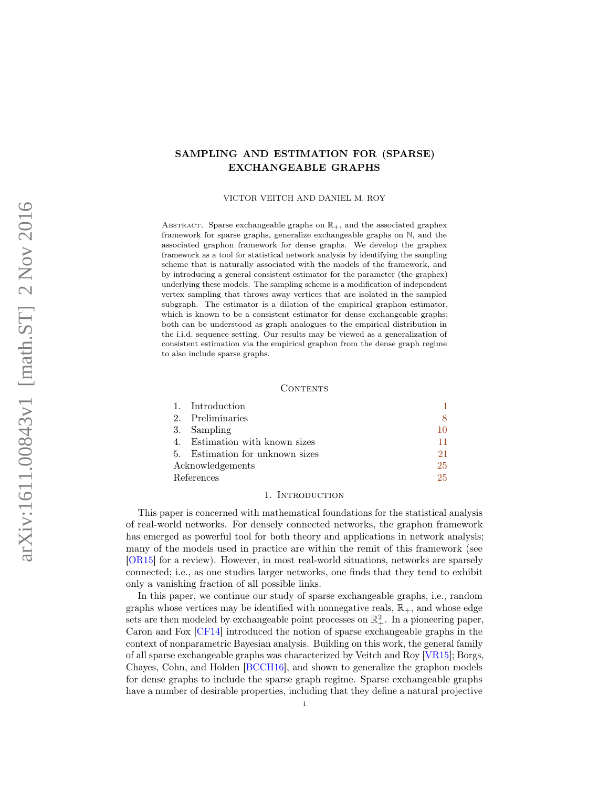# <span id="page-0-1"></span>SAMPLING AND ESTIMATION FOR (SPARSE) EXCHANGEABLE GRAPHS

VICTOR VEITCH AND DANIEL M. ROY

ABSTRACT. Sparse exchangeable graphs on  $\mathbb{R}_+$ , and the associated graphex framework for sparse graphs, generalize exchangeable graphs on N, and the associated graphon framework for dense graphs. We develop the graphex framework as a tool for statistical network analysis by identifying the sampling scheme that is naturally associated with the models of the framework, and by introducing a general consistent estimator for the parameter (the graphex) underlying these models. The sampling scheme is a modification of independent vertex sampling that throws away vertices that are isolated in the sampled subgraph. The estimator is a dilation of the empirical graphon estimator, which is known to be a consistent estimator for dense exchangeable graphs; both can be understood as graph analogues to the empirical distribution in the i.i.d. sequence setting. Our results may be viewed as a generalization of consistent estimation via the empirical graphon from the dense graph regime to also include sparse graphs.

## CONTENTS

|                  | 1. Introduction                 |    |
|------------------|---------------------------------|----|
|                  | 2. Preliminaries                | 8  |
|                  | 3. Sampling                     | 10 |
|                  | 4. Estimation with known sizes  | 11 |
|                  | 5. Estimation for unknown sizes | 21 |
| Acknowledgements |                                 | 25 |
| References       |                                 | 25 |

### 1. INTRODUCTION

<span id="page-0-0"></span>This paper is concerned with mathematical foundations for the statistical analysis of real-world networks. For densely connected networks, the graphon framework has emerged as powerful tool for both theory and applications in network analysis; many of the models used in practice are within the remit of this framework (see [\[OR15\]](#page-24-2) for a review). However, in most real-world situations, networks are sparsely connected; i.e., as one studies larger networks, one finds that they tend to exhibit only a vanishing fraction of all possible links.

In this paper, we continue our study of sparse exchangeable graphs, i.e., random graphs whose vertices may be identified with nonnegative reals,  $\mathbb{R}_+$ , and whose edge sets are then modeled by exchangeable point processes on  $\mathbb{R}^2_+$ . In a pioneering paper, Caron and Fox [\[CF14\]](#page-24-3) introduced the notion of sparse exchangeable graphs in the context of nonparametric Bayesian analysis. Building on this work, the general family of all sparse exchangeable graphs was characterized by Veitch and Roy [\[VR15\]](#page-24-4); Borgs, Chayes, Cohn, and Holden [\[BCCH16\]](#page-24-5), and shown to generalize the graphon models for dense graphs to include the sparse graph regime. Sparse exchangeable graphs have a number of desirable properties, including that they define a natural projective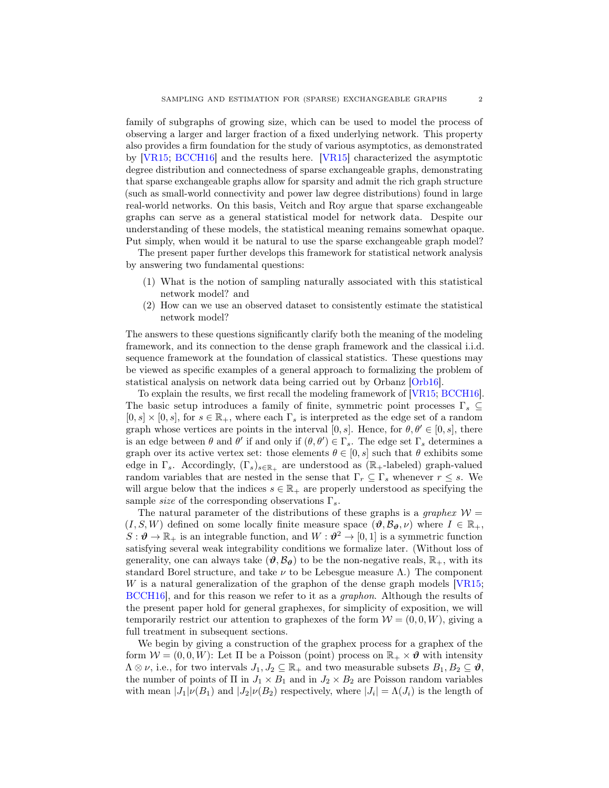family of subgraphs of growing size, which can be used to model the process of observing a larger and larger fraction of a fixed underlying network. This property also provides a firm foundation for the study of various asymptotics, as demonstrated by [\[VR15;](#page-24-4) [BCCH16\]](#page-24-5) and the results here. [\[VR15\]](#page-24-4) characterized the asymptotic degree distribution and connectedness of sparse exchangeable graphs, demonstrating that sparse exchangeable graphs allow for sparsity and admit the rich graph structure (such as small-world connectivity and power law degree distributions) found in large real-world networks. On this basis, Veitch and Roy argue that sparse exchangeable graphs can serve as a general statistical model for network data. Despite our understanding of these models, the statistical meaning remains somewhat opaque. Put simply, when would it be natural to use the sparse exchangeable graph model?

The present paper further develops this framework for statistical network analysis by answering two fundamental questions:

- (1) What is the notion of sampling naturally associated with this statistical network model? and
- (2) How can we use an observed dataset to consistently estimate the statistical network model?

The answers to these questions significantly clarify both the meaning of the modeling framework, and its connection to the dense graph framework and the classical i.i.d. sequence framework at the foundation of classical statistics. These questions may be viewed as specific examples of a general approach to formalizing the problem of statistical analysis on network data being carried out by Orbanz [\[Orb16\]](#page-24-6).

To explain the results, we first recall the modeling framework of [\[VR15;](#page-24-4) [BCCH16\]](#page-24-5). The basic setup introduces a family of finite, symmetric point processes  $\Gamma_s \subseteq$  $[0, s] \times [0, s]$ , for  $s \in \mathbb{R}_+$ , where each  $\Gamma_s$  is interpreted as the edge set of a random graph whose vertices are points in the interval [0, s]. Hence, for  $\theta, \theta' \in [0, s]$ , there is an edge between  $\theta$  and  $\theta'$  if and only if  $(\theta, \theta') \in \Gamma_s$ . The edge set  $\Gamma_s$  determines a graph over its active vertex set: those elements  $\theta \in [0, s]$  such that  $\theta$  exhibits some edge in  $\Gamma_s$ . Accordingly,  $(\Gamma_s)_{s \in \mathbb{R}_+}$  are understood as  $(\mathbb{R}_+$ -labeled) graph-valued random variables that are nested in the sense that  $\Gamma_r \subseteq \Gamma_s$  whenever  $r \leq s$ . We will argue below that the indices  $s \in \mathbb{R}_+$  are properly understood as specifying the sample *size* of the corresponding observations  $\Gamma_s$ .

The natural parameter of the distributions of these graphs is a *graphex*  $W =$  $(I, S, W)$  defined on some locally finite measure space  $(\theta, \mathcal{B}_{\theta}, \nu)$  where  $I \in \mathbb{R}_{+}$ ,  $S: \mathcal{O} \to \mathbb{R}_+$  is an integrable function, and  $W: \mathcal{O}^2 \to [0,1]$  is a symmetric function satisfying several weak integrability conditions we formalize later. (Without loss of generality, one can always take  $(\theta, \mathcal{B}_{\theta})$  to be the non-negative reals,  $\mathbb{R}_{+}$ , with its standard Borel structure, and take  $\nu$  to be Lebesgue measure  $\Lambda$ .) The component  $W$  is a natural generalization of the graphon of the dense graph models  $[VR15;$ [BCCH16\]](#page-24-5), and for this reason we refer to it as a graphon. Although the results of the present paper hold for general graphexes, for simplicity of exposition, we will temporarily restrict our attention to graphexes of the form  $W = (0, 0, W)$ , giving a full treatment in subsequent sections.

We begin by giving a construction of the graphex process for a graphex of the form  $W = (0, 0, W)$ : Let  $\Pi$  be a Poisson (point) process on  $\mathbb{R}_+ \times \mathcal{O}$  with intensity  $\Lambda \otimes \nu$ , i.e., for two intervals  $J_1, J_2 \subseteq \mathbb{R}_+$  and two measurable subsets  $B_1, B_2 \subseteq \vartheta$ , the number of points of  $\Pi$  in  $J_1 \times B_1$  and in  $J_2 \times B_2$  are Poisson random variables with mean  $|J_1|\nu(B_1)$  and  $|J_2|\nu(B_2)$  respectively, where  $|J_i| = \Lambda(J_i)$  is the length of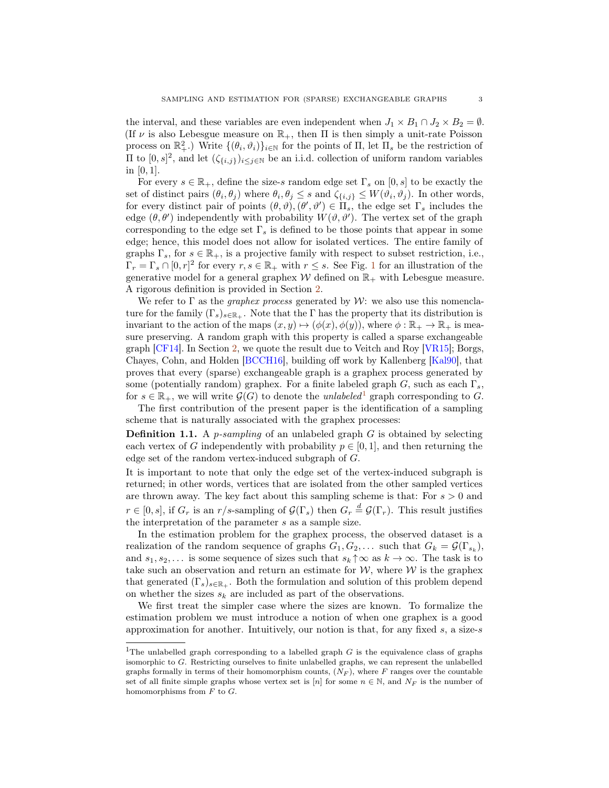the interval, and these variables are even independent when  $J_1 \times B_1 \cap J_2 \times B_2 = \emptyset$ . (If  $\nu$  is also Lebesgue measure on  $\mathbb{R}_+$ , then  $\Pi$  is then simply a unit-rate Poisson process on  $\mathbb{R}^2_+$ .) Write  $\{(\theta_i, \vartheta_i)\}_{i\in\mathbb{N}}$  for the points of  $\Pi$ , let  $\Pi_s$  be the restriction of II to [0, s]<sup>2</sup>, and let  $(ζ_{\{i,j\}})_{i≤j∈N}$  be an i.i.d. collection of uniform random variables in [0, 1].

For every  $s \in \mathbb{R}_+$ , define the size-s random edge set  $\Gamma_s$  on  $[0, s]$  to be exactly the set of distinct pairs  $(\theta_i, \theta_j)$  where  $\theta_i, \theta_j \leq s$  and  $\zeta_{\{i,j\}} \leq W(\vartheta_i, \vartheta_j)$ . In other words, for every distinct pair of points  $(\theta, \vartheta), (\theta', \vartheta') \in \Pi_s$ , the edge set  $\Gamma_s$  includes the edge  $(\theta, \theta')$  independently with probability  $W(\vartheta, \vartheta')$ . The vertex set of the graph corresponding to the edge set  $\Gamma_s$  is defined to be those points that appear in some edge; hence, this model does not allow for isolated vertices. The entire family of graphs  $\Gamma_s$ , for  $s \in \mathbb{R}_+$ , is a projective family with respect to subset restriction, i.e.,  $\Gamma_r = \Gamma_s \cap [0, r]^2$  for every  $r, s \in \mathbb{R}_+$  with  $r \leq s$ . See Fig. [1](#page-3-0) for an illustration of the generative model for a general graphex  $W$  defined on  $\mathbb{R}_+$  with Lebesgue measure. A rigorous definition is provided in Section [2.](#page-7-0)

We refer to  $\Gamma$  as the *graphex process* generated by W: we also use this nomenclature for the family  $(\Gamma_s)_{s\in\mathbb{R}_+}$ . Note that the  $\Gamma$  has the property that its distribution is invariant to the action of the maps  $(x, y) \mapsto (\phi(x), \phi(y))$ , where  $\phi : \mathbb{R}_+ \to \mathbb{R}_+$  is measure preserving. A random graph with this property is called a sparse exchangeable graph [\[CF14\]](#page-24-3). In Section [2,](#page-7-0) we quote the result due to Veitch and Roy [\[VR15\]](#page-24-4); Borgs, Chayes, Cohn, and Holden [\[BCCH16\]](#page-24-5), building off work by Kallenberg [\[Kal90\]](#page-24-7), that proves that every (sparse) exchangeable graph is a graphex process generated by some (potentially random) graphex. For a finite labeled graph  $G$ , such as each  $\Gamma_s$ , for  $s \in \mathbb{R}_+$ , we will write  $\mathcal{G}(G)$  to denote the *unlabeled*<sup>[1](#page-0-1)</sup> graph corresponding to G.

The first contribution of the present paper is the identification of a sampling scheme that is naturally associated with the graphex processes:

**Definition 1.1.** A *p*-sampling of an unlabeled graph  $G$  is obtained by selecting each vertex of G independently with probability  $p \in [0, 1]$ , and then returning the edge set of the random vertex-induced subgraph of G.

It is important to note that only the edge set of the vertex-induced subgraph is returned; in other words, vertices that are isolated from the other sampled vertices are thrown away. The key fact about this sampling scheme is that: For  $s > 0$  and  $r \in [0, s]$ , if  $G_r$  is an  $r/s$ -sampling of  $\mathcal{G}(\Gamma_s)$  then  $G_r \stackrel{d}{=} \mathcal{G}(\Gamma_r)$ . This result justifies the interpretation of the parameter s as a sample size.

In the estimation problem for the graphex process, the observed dataset is a realization of the random sequence of graphs  $G_1, G_2, \ldots$  such that  $G_k = \mathcal{G}(\Gamma_{s_k}),$ and  $s_1, s_2, \ldots$  is some sequence of sizes such that  $s_k \uparrow \infty$  as  $k \to \infty$ . The task is to take such an observation and return an estimate for  $W$ , where  $W$  is the graphex that generated  $(\Gamma_s)_{s\in\mathbb{R}_+}$ . Both the formulation and solution of this problem depend on whether the sizes  $s_k$  are included as part of the observations.

We first treat the simpler case where the sizes are known. To formalize the estimation problem we must introduce a notion of when one graphex is a good approximation for another. Intuitively, our notion is that, for any fixed s, a size-s

<sup>&</sup>lt;sup>1</sup>The unlabelled graph corresponding to a labelled graph  $G$  is the equivalence class of graphs isomorphic to G. Restricting ourselves to finite unlabelled graphs, we can represent the unlabelled graphs formally in terms of their homomorphism counts,  $(N_F)$ , where F ranges over the countable set of all finite simple graphs whose vertex set is [n] for some  $n \in \mathbb{N}$ , and  $N_F$  is the number of homomorphisms from  $F$  to  $G$ .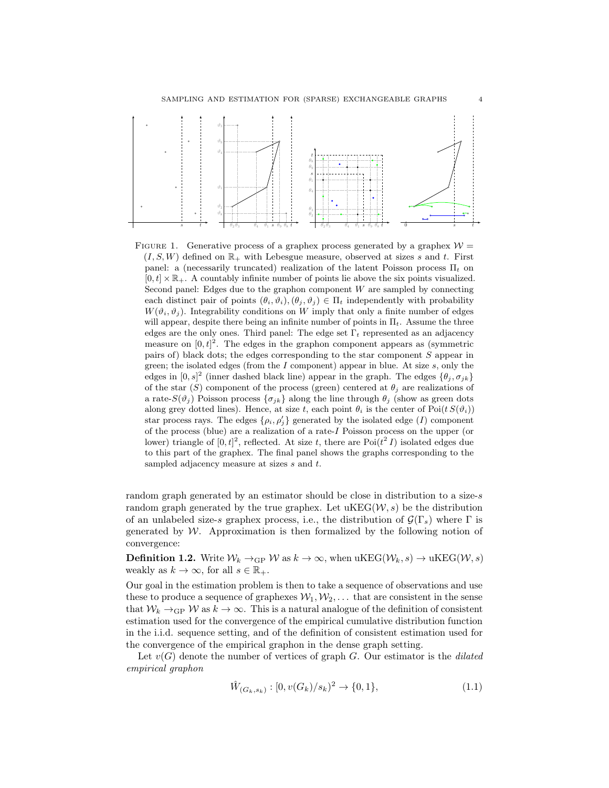<span id="page-3-0"></span>

FIGURE 1. Generative process of a graphex process generated by a graphex  $W =$  $(I, S, W)$  defined on  $\mathbb{R}_+$  with Lebesgue measure, observed at sizes s and t. First panel: a (necessarily truncated) realization of the latent Poisson process  $\Pi_t$  on  $[0, t] \times \mathbb{R}_+$ . A countably infinite number of points lie above the six points visualized. Second panel: Edges due to the graphon component  $W$  are sampled by connecting each distinct pair of points  $(\theta_i, \vartheta_i), (\theta_j, \vartheta_j) \in \Pi_t$  independently with probability  $W(\vartheta_i, \vartheta_j)$ . Integrability conditions on W imply that only a finite number of edges will appear, despite there being an infinite number of points in  $\Pi_t$ . Assume the three edges are the only ones. Third panel: The edge set  $\Gamma_t$  represented as an adjacency measure on  $[0, t]^2$ . The edges in the graphon component appears as (symmetric pairs of) black dots; the edges corresponding to the star component S appear in green; the isolated edges (from the  $I$  component) appear in blue. At size  $s$ , only the edges in  $[0, s]^2$  (inner dashed black line) appear in the graph. The edges  $\{\theta_j, \sigma_{jk}\}$ of the star (S) component of the process (green) centered at  $\theta_i$  are realizations of a rate- $S(\vartheta_i)$  Poisson process  $\{\sigma_{ik}\}\$ along the line through  $\theta_i$  (show as green dots along grey dotted lines). Hence, at size t, each point  $\theta_i$  is the center of Poi $(t S(\vartheta_i))$ star process rays. The edges  $\{\rho_i, \rho'_j\}$  generated by the isolated edge (I) component of the process (blue) are a realization of a rate-I Poisson process on the upper (or lower) triangle of  $[0, t]^2$ , reflected. At size t, there are  $Poi(t^2 I)$  isolated edges due to this part of the graphex. The final panel shows the graphs corresponding to the sampled adjacency measure at sizes s and t.

random graph generated by an estimator should be close in distribution to a size-s random graph generated by the true graphex. Let  $\mathrm{uKEG}(\mathcal{W},s)$  be the distribution of an unlabeled size-s graphex process, i.e., the distribution of  $\mathcal{G}(\Gamma_s)$  where  $\Gamma$  is generated by  $W$ . Approximation is then formalized by the following notion of convergence:

**Definition 1.2.** Write  $\mathcal{W}_k \to_{\text{GP}} \mathcal{W}$  as  $k \to \infty$ , when  $\text{uKEG}(\mathcal{W}_k, s) \to \text{uKEG}(\mathcal{W}, s)$ weakly as  $k \to \infty$ , for all  $s \in \mathbb{R}_+$ .

Our goal in the estimation problem is then to take a sequence of observations and use these to produce a sequence of graphexes  $W_1, W_2, \ldots$  that are consistent in the sense that  $W_k \rightarrow_{\text{GP}} W$  as  $k \rightarrow \infty$ . This is a natural analogue of the definition of consistent estimation used for the convergence of the empirical cumulative distribution function in the i.i.d. sequence setting, and of the definition of consistent estimation used for the convergence of the empirical graphon in the dense graph setting.

Let  $v(G)$  denote the number of vertices of graph G. Our estimator is the *dilated* empirical graphon

$$
\hat{W}_{(G_k, s_k)} : [0, v(G_k)/s_k)^2 \to \{0, 1\},\tag{1.1}
$$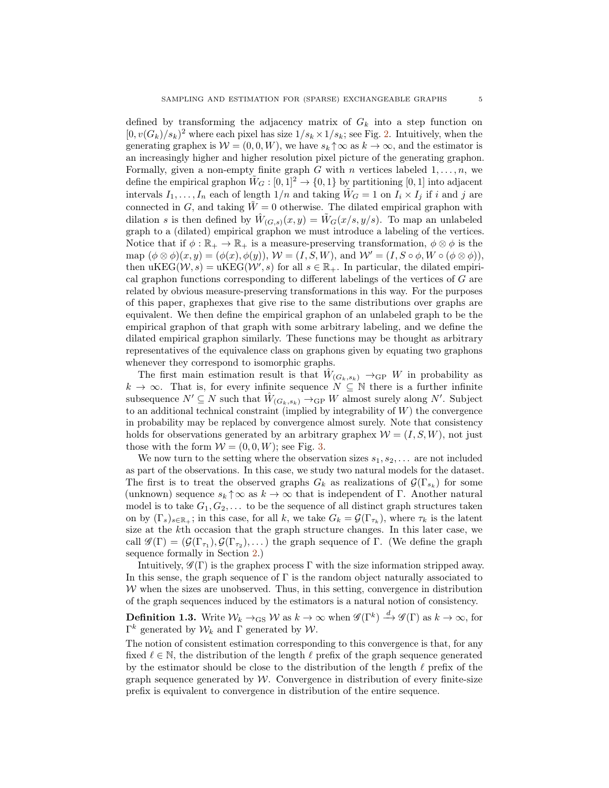defined by transforming the adjacency matrix of  $G_k$  into a step function on  $[0, v(G_k)/s_k)^2$  where each pixel has size  $1/s_k \times 1/s_k$ ; see Fig. [2.](#page-5-0) Intuitively, when the generating graphex is  $W = (0, 0, W)$ , we have  $s_k \uparrow \infty$  as  $k \to \infty$ , and the estimator is an increasingly higher and higher resolution pixel picture of the generating graphon. Formally, given a non-empty finite graph G with n vertices labeled  $1, \ldots, n$ , we define the empirical graphon  $\tilde{W}_G : [0, 1]^2 \to \{0, 1\}$  by partitioning [0, 1] into adjacent intervals  $I_1, \ldots, I_n$  each of length  $1/n$  and taking  $W_G = 1$  on  $I_i \times I_j$  if i and j are connected in G, and taking  $\tilde{W} = 0$  otherwise. The dilated empirical graphon with dilation s is then defined by  $\hat{W}_{(G,s)}(x,y) = \tilde{W}_G(x/s, y/s)$ . To map an unlabeled graph to a (dilated) empirical graphon we must introduce a labeling of the vertices. Notice that if  $\phi : \mathbb{R}_+ \to \mathbb{R}_+$  is a measure-preserving transformation,  $\phi \otimes \phi$  is the map  $(\phi \otimes \phi)(x, y) = (\phi(x), \phi(y)), W = (I, S, W),$  and  $W' = (I, S \circ \phi, W \circ (\phi \otimes \phi)),$ then  $\mathrm{uKEG}(\mathcal{W}, s) = \mathrm{uKEG}(\mathcal{W}', s)$  for all  $s \in \mathbb{R}_+$ . In particular, the dilated empirical graphon functions corresponding to different labelings of the vertices of G are related by obvious measure-preserving transformations in this way. For the purposes of this paper, graphexes that give rise to the same distributions over graphs are equivalent. We then define the empirical graphon of an unlabeled graph to be the empirical graphon of that graph with some arbitrary labeling, and we define the dilated empirical graphon similarly. These functions may be thought as arbitrary representatives of the equivalence class on graphons given by equating two graphons whenever they correspond to isomorphic graphs.

The first main estimation result is that  $\hat{W}_{(G_k,s_k)} \to_{\text{GP}} W$  in probability as  $k \to \infty$ . That is, for every infinite sequence  $N \subseteq N$  there is a further infinite subsequence  $N' \subseteq N$  such that  $\hat{W}_{(G_k, s_k)} \to_{\text{GP}} W$  almost surely along  $N'$ . Subject to an additional technical constraint (implied by integrability of  $W$ ) the convergence in probability may be replaced by convergence almost surely. Note that consistency holds for observations generated by an arbitrary graphex  $W = (I, S, W)$ , not just those with the form  $W = (0, 0, W)$ ; see Fig. [3.](#page-6-0)

We now turn to the setting where the observation sizes  $s_1, s_2, \ldots$  are not included as part of the observations. In this case, we study two natural models for the dataset. The first is to treat the observed graphs  $G_k$  as realizations of  $\mathcal{G}(\Gamma_{s_k})$  for some (unknown) sequence  $s_k \uparrow \infty$  as  $k \to \infty$  that is independent of Γ. Another natural model is to take  $G_1, G_2, \ldots$  to be the sequence of all distinct graph structures taken on by  $(\Gamma_s)_{s\in\mathbb{R}_+}$ ; in this case, for all k, we take  $G_k = \mathcal{G}(\Gamma_{\tau_k})$ , where  $\tau_k$  is the latent size at the kth occasion that the graph structure changes. In this later case, we call  $\mathscr{G}(\Gamma) = (\mathcal{G}(\Gamma_{\tau_1}), \mathcal{G}(\Gamma_{\tau_2}), \dots)$  the graph sequence of  $\Gamma$ . (We define the graph sequence formally in Section [2.](#page-7-0))

Intuitively,  $\mathscr{G}(\Gamma)$  is the graphex process  $\Gamma$  with the size information stripped away. In this sense, the graph sequence of  $\Gamma$  is the random object naturally associated to  $W$  when the sizes are unobserved. Thus, in this setting, convergence in distribution of the graph sequences induced by the estimators is a natural notion of consistency.

**Definition 1.3.** Write  $\mathcal{W}_k \to_{\text{GS}} \mathcal{W}$  as  $k \to \infty$  when  $\mathscr{G}(\Gamma^k) \xrightarrow{d} \mathscr{G}(\Gamma)$  as  $k \to \infty$ , for  $\Gamma^k$  generated by  $W_k$  and Γ generated by W.

The notion of consistent estimation corresponding to this convergence is that, for any fixed  $\ell \in \mathbb{N}$ , the distribution of the length  $\ell$  prefix of the graph sequence generated by the estimator should be close to the distribution of the length  $\ell$  prefix of the graph sequence generated by  $W$ . Convergence in distribution of every finite-size prefix is equivalent to convergence in distribution of the entire sequence.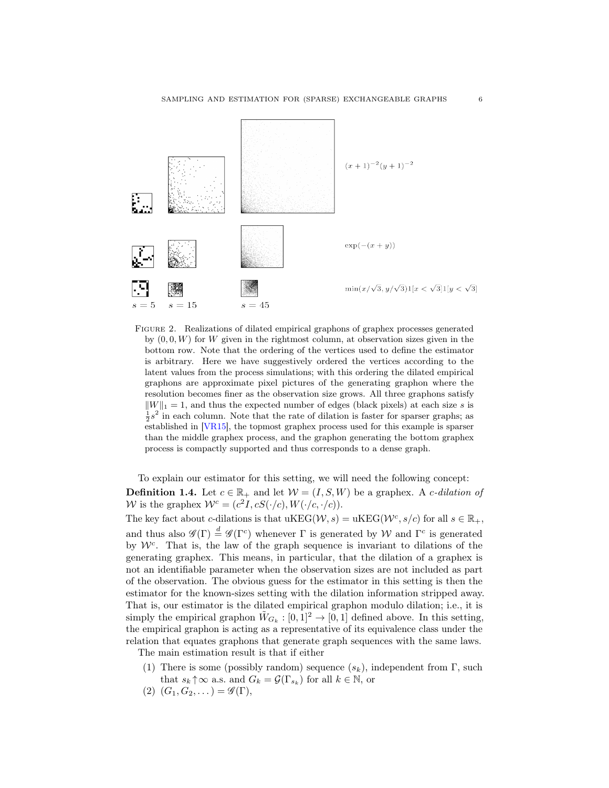<span id="page-5-0"></span>

Figure 2. Realizations of dilated empirical graphons of graphex processes generated by  $(0, 0, W)$  for W given in the rightmost column, at observation sizes given in the bottom row. Note that the ordering of the vertices used to define the estimator is arbitrary. Here we have suggestively ordered the vertices according to the latent values from the process simulations; with this ordering the dilated empirical graphons are approximate pixel pictures of the generating graphon where the resolution becomes finer as the observation size grows. All three graphons satisfy  $\|W\|_1 = 1$ , and thus the expected number of edges (black pixels) at each size s is  $\frac{1}{2}s^2$  in each column. Note that the rate of dilation is faster for sparser graphs; as established in [\[VR15\]](#page-24-4), the topmost graphex process used for this example is sparser than the middle graphex process, and the graphon generating the bottom graphex process is compactly supported and thus corresponds to a dense graph.

To explain our estimator for this setting, we will need the following concept: **Definition 1.4.** Let  $c \in \mathbb{R}_+$  and let  $W = (I, S, W)$  be a graphex. A *c*-dilation of W is the graphex  $W^c = (c^2I, cS(\cdot/c), W(\cdot/c, \cdot/c)).$ 

The key fact about c-dilations is that  $\mathrm{uKEG}(\mathcal{W}, s) = \mathrm{uKEG}(\mathcal{W}^c, s/c)$  for all  $s \in \mathbb{R}_+$ , and thus also  $\mathscr{G}(\Gamma) \stackrel{d}{=} \mathscr{G}(\Gamma^c)$  whenever  $\Gamma$  is generated by W and  $\Gamma^c$  is generated by  $W<sup>c</sup>$ . That is, the law of the graph sequence is invariant to dilations of the generating graphex. This means, in particular, that the dilation of a graphex is not an identifiable parameter when the observation sizes are not included as part of the observation. The obvious guess for the estimator in this setting is then the estimator for the known-sizes setting with the dilation information stripped away. That is, our estimator is the dilated empirical graphon modulo dilation; i.e., it is simply the empirical graphon  $\tilde{W}_{G_k} : [0,1]^2 \to [0,1]$  defined above. In this setting, the empirical graphon is acting as a representative of its equivalence class under the relation that equates graphons that generate graph sequences with the same laws. The main estimation result is that if either

- (1) There is some (possibly random) sequence  $(s_k)$ , independent from  $\Gamma$ , such that  $s_k \uparrow \infty$  a.s. and  $G_k = \mathcal{G}(\Gamma_{s_k})$  for all  $k \in \mathbb{N}$ , or
- $(2)$   $(G_1, G_2, \ldots) = \mathscr{G}(\Gamma),$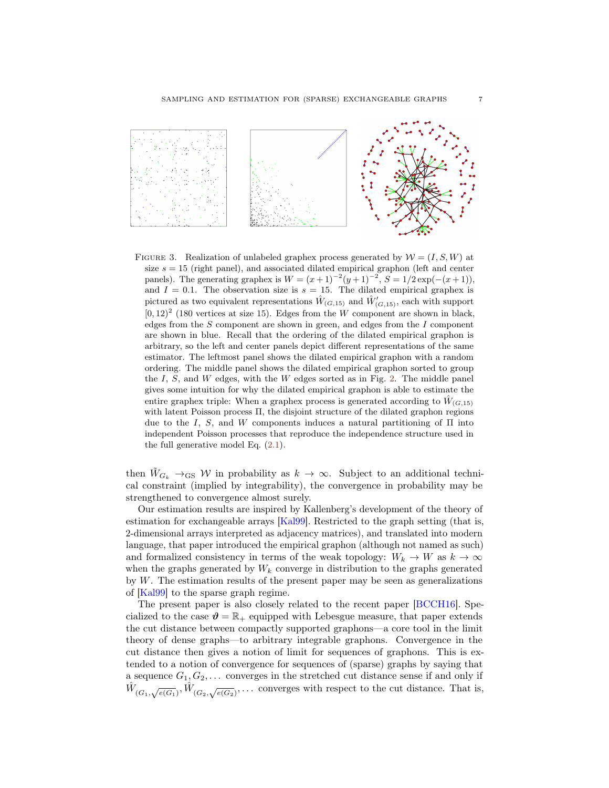<span id="page-6-0"></span>

FIGURE 3. Realization of unlabeled graphex process generated by  $W = (I, S, W)$  at size  $s = 15$  (right panel), and associated dilated empirical graphon (left and center panels). The generating graphex is  $W = (x+1)^{-2}(y+1)^{-2}$ ,  $S = 1/2 \exp(-(x+1))$ , and  $I = 0.1$ . The observation size is  $s = 15$ . The dilated empirical graphex is pictured as two equivalent representations  $\hat{W}_{(G,15)}$  and  $\hat{W}'_{(G,15)}$ , each with support  $[0, 12)^2$  (180 vertices at size 15). Edges from the W component are shown in black, edges from the  $S$  component are shown in green, and edges from the  $I$  component are shown in blue. Recall that the ordering of the dilated empirical graphon is arbitrary, so the left and center panels depict different representations of the same estimator. The leftmost panel shows the dilated empirical graphon with a random ordering. The middle panel shows the dilated empirical graphon sorted to group the  $I$ ,  $S$ , and  $W$  edges, with the  $W$  edges sorted as in Fig. [2.](#page-5-0) The middle panel gives some intuition for why the dilated empirical graphon is able to estimate the entire graphex triple: When a graphex process is generated according to  $\hat{W}_{(G,15)}$ with latent Poisson process  $\Pi$ , the disjoint structure of the dilated graphon regions due to the I, S, and W components induces a natural partitioning of  $\Pi$  into independent Poisson processes that reproduce the independence structure used in the full generative model Eq. [\(2.1\)](#page-8-0).

then  $W_{G_k} \to_{\text{GS}} W$  in probability as  $k \to \infty$ . Subject to an additional technical constraint (implied by integrability), the convergence in probability may be strengthened to convergence almost surely.

Our estimation results are inspired by Kallenberg's development of the theory of estimation for exchangeable arrays [\[Kal99\]](#page-24-8). Restricted to the graph setting (that is, 2-dimensional arrays interpreted as adjacency matrices), and translated into modern language, that paper introduced the empirical graphon (although not named as such) and formalized consistency in terms of the weak topology:  $W_k \to W$  as  $k \to \infty$ when the graphs generated by  $W_k$  converge in distribution to the graphs generated by W. The estimation results of the present paper may be seen as generalizations of [\[Kal99\]](#page-24-8) to the sparse graph regime.

The present paper is also closely related to the recent paper [\[BCCH16\]](#page-24-5). Specialized to the case  $\mathcal{V} = \mathbb{R}_+$  equipped with Lebesgue measure, that paper extends the cut distance between compactly supported graphons—a core tool in the limit theory of dense graphs—to arbitrary integrable graphons. Convergence in the cut distance then gives a notion of limit for sequences of graphons. This is extended to a notion of convergence for sequences of (sparse) graphs by saying that a sequence  $G_1, G_2, \ldots$  converges in the stretched cut distance sense if and only if  $\hat{W}_{(G_1,\sqrt{e(G_1)}}, \hat{W}_{(G_2,\sqrt{e(G_2)}},\dots)$  converges with respect to the cut distance. That is,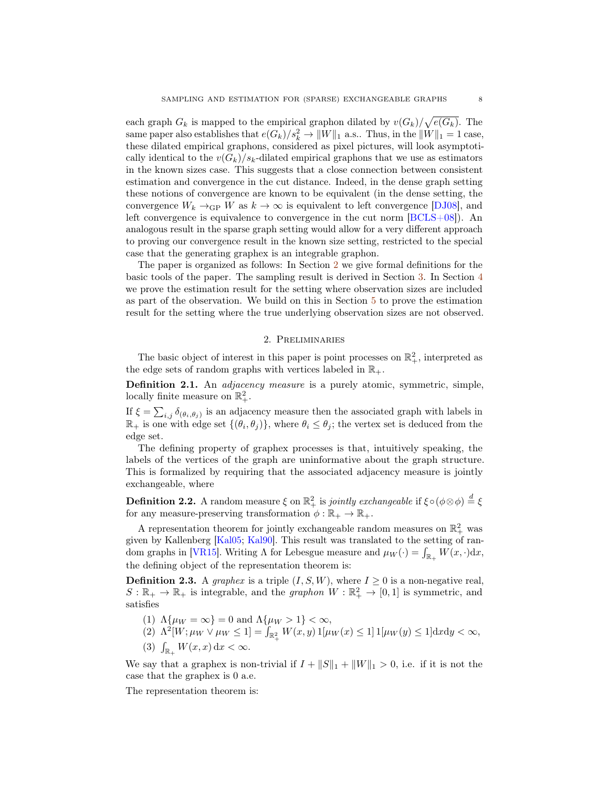each graph  $G_k$  is mapped to the empirical graphon dilated by  $v(G_k)/\sqrt{e(G_k)}$ . The same paper also establishes that  $e(G_k)/s_k^2 \to ||W||_1$  a.s.. Thus, in the  $||W||_1 = 1$  case, these dilated empirical graphons, considered as pixel pictures, will look asymptotically identical to the  $v(G_k)/s_k$ -dilated empirical graphons that we use as estimators in the known sizes case. This suggests that a close connection between consistent estimation and convergence in the cut distance. Indeed, in the dense graph setting these notions of convergence are known to be equivalent (in the dense setting, the convergence  $W_k \rightarrow_{\text{GP}} W$  as  $k \rightarrow \infty$  is equivalent to left convergence [\[DJ08\]](#page-24-9), and left convergence is equivalence to convergence in the cut norm [\[BCLS+08\]](#page-24-10)). An analogous result in the sparse graph setting would allow for a very different approach to proving our convergence result in the known size setting, restricted to the special case that the generating graphex is an integrable graphon.

The paper is organized as follows: In Section [2](#page-7-0) we give formal definitions for the basic tools of the paper. The sampling result is derived in Section [3.](#page-9-0) In Section [4](#page-10-0) we prove the estimation result for the setting where observation sizes are included as part of the observation. We build on this in Section [5](#page-20-0) to prove the estimation result for the setting where the true underlying observation sizes are not observed.

## 2. Preliminaries

<span id="page-7-0"></span>The basic object of interest in this paper is point processes on  $\mathbb{R}^2_+$ , interpreted as the edge sets of random graphs with vertices labeled in  $\mathbb{R}_+$ .

**Definition 2.1.** An *adjacency measure* is a purely atomic, symmetric, simple, locally finite measure on  $\mathbb{R}^2_+$ .

If  $\xi = \sum_{i,j} \delta_{(\theta_i, \theta_j)}$  is an adjacency measure then the associated graph with labels in  $\mathbb{R}_+$  is one with edge set  $\{(\theta_i, \theta_j)\}\$ , where  $\theta_i \leq \theta_j$ ; the vertex set is deduced from the edge set.

The defining property of graphex processes is that, intuitively speaking, the labels of the vertices of the graph are uninformative about the graph structure. This is formalized by requiring that the associated adjacency measure is jointly exchangeable, where

**Definition 2.2.** A random measure  $\xi$  on  $\mathbb{R}^2_+$  is *jointly exchangeable* if  $\xi \circ (\phi \otimes \phi) \stackrel{d}{=} \xi$ for any measure-preserving transformation  $\phi : \mathbb{R}_+ \to \mathbb{R}_+$ .

A representation theorem for jointly exchangeable random measures on  $\mathbb{R}^2_+$  was given by Kallenberg [\[Kal05;](#page-24-11) [Kal90\]](#page-24-7). This result was translated to the setting of ran-dom graphs in [\[VR15\]](#page-24-4). Writing  $\Lambda$  for Lebesgue measure and  $\mu_W(\cdot) = \int_{\mathbb{R}_+} W(x, \cdot) dx$ , the defining object of the representation theorem is:

**Definition 2.3.** A graphex is a triple  $(I, S, W)$ , where  $I \geq 0$  is a non-negative real,  $S: \mathbb{R}_+ \to \mathbb{R}_+$  is integrable, and the *graphon*  $W: \mathbb{R}_+^2 \to [0,1]$  is symmetric, and satisfies

(1)  $\Lambda\{\mu_W = \infty\} = 0$  and  $\Lambda\{\mu_W > 1\} < \infty$ ,

(2)  $\Lambda^2[W; \mu_W \vee \mu_W \leq 1] = \int_{\mathbb{R}_+^2} W(x, y) 1[\mu_W(x) \leq 1] 1[\mu_W(y) \leq 1] \mathrm{d}x \mathrm{d}y < \infty,$ (3)  $\int_{\mathbb{R}_+} W(x, x) dx < \infty$ .

We say that a graphex is non-trivial if  $I + ||S||_1 + ||W||_1 > 0$ , i.e. if it is not the case that the graphex is 0 a.e.

<span id="page-7-1"></span>The representation theorem is: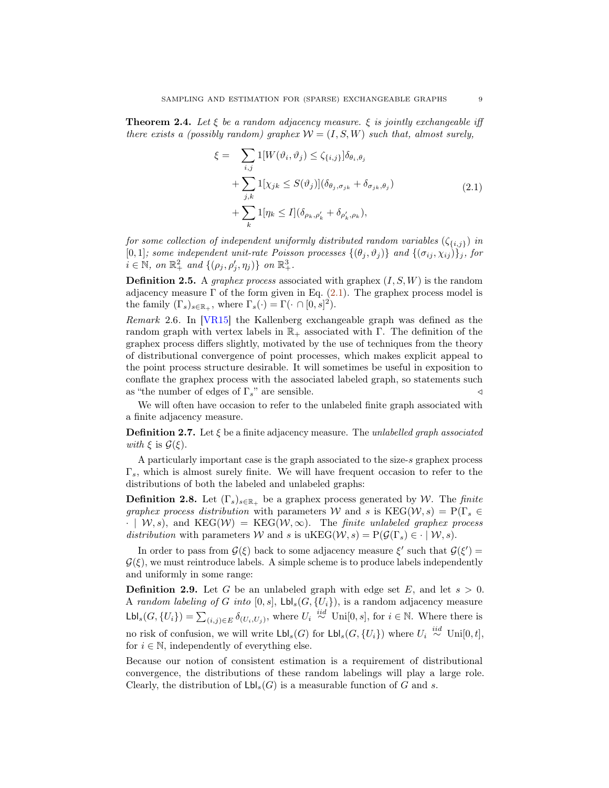**Theorem 2.4.** Let  $\xi$  be a random adjacency measure.  $\xi$  is jointly exchangeable iff there exists a (possibly random) graphex  $W = (I, S, W)$  such that, almost surely,

<span id="page-8-0"></span>
$$
\xi = \sum_{i,j} 1[W(\vartheta_i, \vartheta_j) \le \zeta_{\{i,j\}}] \delta_{\theta_i, \theta_j}
$$
  
+ 
$$
\sum_{j,k} 1[\chi_{jk} \le S(\vartheta_j)] (\delta_{\theta_j, \sigma_{jk}} + \delta_{\sigma_{jk}, \theta_j})
$$
  
+ 
$$
\sum_k 1[\eta_k \le I] (\delta_{\rho_k, \rho'_k} + \delta_{\rho'_k, \rho_k}),
$$
\n(2.1)

for some collection of independent uniformly distributed random variables  $(\zeta_{\{i,j\}})$  in [0,1]; some independent unit-rate Poisson processes  $\{(\theta_j, \vartheta_j)\}\$  and  $\{(\sigma_{ij}, \chi_{ij})\}_j$ , for  $i \in \mathbb{N}$ , on  $\mathbb{R}^2_+$  and  $\{(\rho_j, \rho'_j, \eta_j)\}$  on  $\mathbb{R}^3_+$ .

**Definition 2.5.** A *graphex process* associated with graphex  $(I, S, W)$  is the random adjacency measure  $\Gamma$  of the form given in Eq. [\(2.1\)](#page-8-0). The graphex process model is the family  $(\Gamma_s)_{s \in \mathbb{R}_+}$ , where  $\Gamma_s(\cdot) = \Gamma(\cdot \cap [0, s]^2)$ .

Remark 2.6. In [\[VR15\]](#page-24-4) the Kallenberg exchangeable graph was defined as the random graph with vertex labels in  $\mathbb{R}_+$  associated with Γ. The definition of the graphex process differs slightly, motivated by the use of techniques from the theory of distributional convergence of point processes, which makes explicit appeal to the point process structure desirable. It will sometimes be useful in exposition to conflate the graphex process with the associated labeled graph, so statements such as "the number of edges of  $\Gamma_s$ " are sensible.  $\triangleleft$ 

We will often have occasion to refer to the unlabeled finite graph associated with a finite adjacency measure.

**Definition 2.7.** Let  $\xi$  be a finite adjacency measure. The unlabelled graph associated with  $\xi$  is  $\mathcal{G}(\xi)$ .

A particularly important case is the graph associated to the size-s graphex process  $\Gamma_s$ , which is almost surely finite. We will have frequent occasion to refer to the distributions of both the labeled and unlabeled graphs:

**Definition 2.8.** Let  $(\Gamma_s)_{s \in \mathbb{R}_+}$  be a graphex process generated by W. The finite graphex process distribution with parameters W and s is  $\text{KEG}(\mathcal{W}, s) = P(\Gamma_s \in$  $\cdot$  |  $W, s$ ), and KEG( $W$ ) = KEG( $W, \infty$ ). The *finite unlabeled graphex process* distribution with parameters W and s is uKEG $(W, s) = P(\mathcal{G}(\Gamma_s) \in \cdot \mid W, s)$ .

In order to pass from  $\mathcal{G}(\xi)$  back to some adjacency measure  $\xi'$  such that  $\mathcal{G}(\xi') =$  $\mathcal{G}(\xi)$ , we must reintroduce labels. A simple scheme is to produce labels independently and uniformly in some range:

**Definition 2.9.** Let G be an unlabeled graph with edge set E, and let  $s > 0$ . A random labeling of G into  $[0, s]$ ,  $\mathsf{Lbl}_s(G, \{U_i\})$ , is a random adjacency measure  $\mathsf{Lbl}_s(G, \{U_i\}) = \sum_{(i,j)\in E} \delta_{(U_i, U_j)}$ , where  $U_i \stackrel{iid}{\sim} \text{Uni}[0, s]$ , for  $i \in \mathbb{N}$ . Where there is no risk of confusion, we will write  $\mathsf{Lbl}_s(G)$  for  $\mathsf{Lbl}_s(G, \{U_i\})$  where  $U_i \stackrel{iid}{\sim} \text{Uni}[0, t],$ for  $i \in \mathbb{N}$ , independently of everything else.

Because our notion of consistent estimation is a requirement of distributional convergence, the distributions of these random labelings will play a large role. Clearly, the distribution of  $\mathsf{Lbl}_s(G)$  is a measurable function of G and s.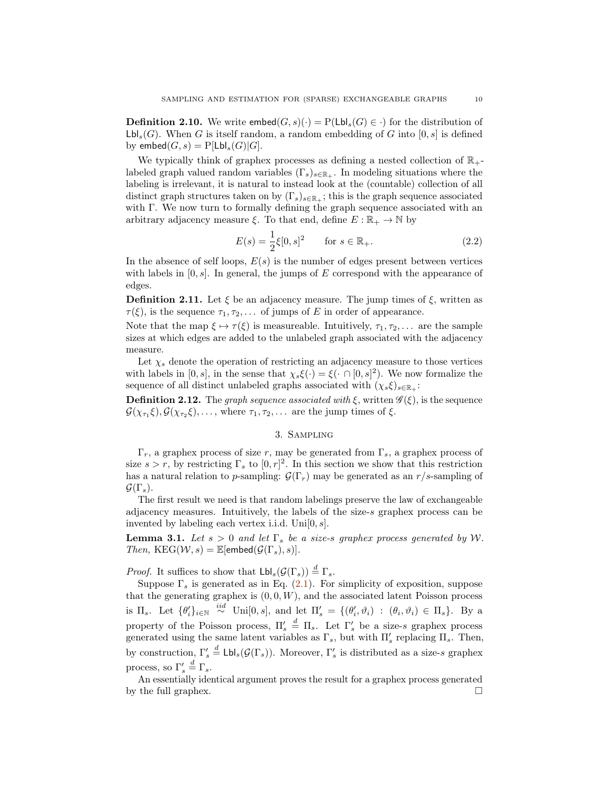**Definition 2.10.** We write  $\mathsf{embed}(G, s)(\cdot) = \mathrm{P}(\mathsf{Lbl}_s(G) \in \cdot)$  for the distribution of  $\mathsf{Lbl}_s(G)$ . When G is itself random, a random embedding of G into  $[0, s]$  is defined by embed $(G, s) = P[\text{Lbl}_s(G)|G].$ 

We typically think of graphex processes as defining a nested collection of  $\mathbb{R}_+$ labeled graph valued random variables  $(\Gamma_s)_{s\in\mathbb{R}_+}$ . In modeling situations where the labeling is irrelevant, it is natural to instead look at the (countable) collection of all distinct graph structures taken on by  $(\Gamma_s)_{s\in\mathbb{R}_+}$ ; this is the graph sequence associated with Γ. We now turn to formally defining the graph sequence associated with an arbitrary adjacency measure  $\xi$ . To that end, define  $E : \mathbb{R}_+ \to \mathbb{N}$  by

$$
E(s) = \frac{1}{2}\xi[0, s]^2 \quad \text{for } s \in \mathbb{R}_+.
$$
 (2.2)

In the absence of self loops,  $E(s)$  is the number of edges present between vertices with labels in  $[0, s]$ . In general, the jumps of E correspond with the appearance of edges.

**Definition 2.11.** Let  $\xi$  be an adjacency measure. The jump times of  $\xi$ , written as  $\tau(\xi)$ , is the sequence  $\tau_1, \tau_2, \ldots$  of jumps of E in order of appearance.

Note that the map  $\xi \mapsto \tau(\xi)$  is measureable. Intuitively,  $\tau_1, \tau_2, \ldots$  are the sample sizes at which edges are added to the unlabeled graph associated with the adjacency measure.

Let  $\chi_s$  denote the operation of restricting an adjacency measure to those vertices with labels in [0, s], in the sense that  $\chi_s \xi(\cdot) = \xi(\cdot \cap [0, s]^2)$ . We now formalize the sequence of all distinct unlabeled graphs associated with  $(\chi_s \xi)_{s \in \mathbb{R}_+}$ :

**Definition 2.12.** The graph sequence associated with  $\xi$ , written  $\mathscr{G}(\xi)$ , is the sequence  $\mathcal{G}(\chi_{\tau_1} \xi), \mathcal{G}(\chi_{\tau_2} \xi), \ldots$ , where  $\tau_1, \tau_2, \ldots$  are the jump times of  $\xi$ .

# 3. Sampling

<span id="page-9-0"></span> $\Gamma_r$ , a graphex process of size r, may be generated from  $\Gamma_s$ , a graphex process of size  $s > r$ , by restricting  $\Gamma_s$  to  $[0, r]^2$ . In this section we show that this restriction has a natural relation to p-sampling:  $\mathcal{G}(\Gamma_r)$  may be generated as an  $r/s$ -sampling of  $\mathcal{G}(\Gamma_s)$ .

The first result we need is that random labelings preserve the law of exchangeable adjacency measures. Intuitively, the labels of the size-s graphex process can be invented by labeling each vertex i.i.d.  $Unif[0, s]$ .

<span id="page-9-1"></span>**Lemma 3.1.** Let  $s > 0$  and let  $\Gamma_s$  be a size-s graphex process generated by W. Then,  $KEG(W, s) = \mathbb{E}[\text{embed}(\mathcal{G}(\Gamma_s), s)].$ 

*Proof.* It suffices to show that  $\mathsf{Lbl}_s(\mathcal{G}(\Gamma_s)) \stackrel{d}{=} \Gamma_s$ .

Suppose  $\Gamma_s$  is generated as in Eq. [\(2.1\)](#page-8-0). For simplicity of exposition, suppose that the generating graphex is  $(0, 0, W)$ , and the associated latent Poisson process is  $\Pi_s$ . Let  $\{\theta'_i\}_{i\in\mathbb{N}} \stackrel{iid}{\sim}$  Uni $[0, s]$ , and let  $\Pi'_s = \{(\theta'_i, \vartheta_i) : (\theta_i, \vartheta_i) \in \Pi_s\}$ . By a property of the Poisson process,  $\Pi'_{s} \stackrel{d}{=} \Pi_{s}$ . Let  $\Gamma'_{s}$  be a size-s graphex process generated using the same latent variables as  $\Gamma_s$ , but with  $\Pi'_s$  replacing  $\Pi_s$ . Then, by construction,  $\Gamma'_s \stackrel{d}{=} \textsf{Lbl}_s(\mathcal{G}(\Gamma_s))$ . Moreover,  $\Gamma'_s$  is distributed as a size-s graphex process, so  $\Gamma'_s \stackrel{d}{=} \Gamma_s$ .

An essentially identical argument proves the result for a graphex process generated by the full graphex.  $\Box$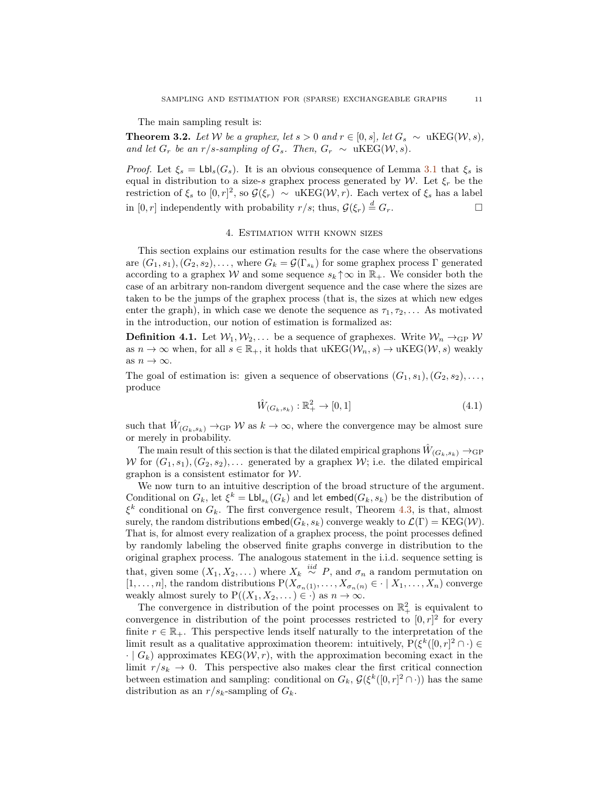The main sampling result is:

**Theorem 3.2.** Let W be a graphex, let  $s > 0$  and  $r \in [0, s]$ , let  $G_s \sim \text{uKEG}(W, s)$ , and let  $G_r$  be an r/s-sampling of  $G_s$ . Then,  $G_r \sim \text{uKEG}(\mathcal{W}, s)$ .

*Proof.* Let  $\xi_s = Lbl_s(G_s)$ . It is an obvious consequence of Lemma [3.1](#page-9-1) that  $\xi_s$  is equal in distribution to a size-s graphex process generated by W. Let  $\xi_r$  be the restriction of  $\xi_s$  to  $[0,r]^2$ , so  $\mathcal{G}(\xi_r) \sim \text{uKEG}(\mathcal{W},r)$ . Each vertex of  $\xi_s$  has a label in  $[0, r]$  independently with probability  $r/s$ ; thus,  $\mathcal{G}(\xi_r) \stackrel{d}{=} G_r$ .

#### 4. Estimation with known sizes

<span id="page-10-0"></span>This section explains our estimation results for the case where the observations are  $(G_1, s_1), (G_2, s_2), \ldots$ , where  $G_k = \mathcal{G}(\Gamma_{s_k})$  for some graphex process  $\Gamma$  generated according to a graphex W and some sequence  $s_k \uparrow \infty$  in  $\mathbb{R}_+$ . We consider both the case of an arbitrary non-random divergent sequence and the case where the sizes are taken to be the jumps of the graphex process (that is, the sizes at which new edges enter the graph), in which case we denote the sequence as  $\tau_1, \tau_2, \ldots$  As motivated in the introduction, our notion of estimation is formalized as:

**Definition 4.1.** Let  $W_1, W_2, \ldots$  be a sequence of graphexes. Write  $W_n \rightarrow_{\text{GP}} W$ as  $n \to \infty$  when, for all  $s \in \mathbb{R}_+$ , it holds that  $uKEG(\mathcal{W}, s) \to uKEG(\mathcal{W}, s)$  weakly as  $n \to \infty$ .

The goal of estimation is: given a sequence of observations  $(G_1, s_1), (G_2, s_2), \ldots$ produce

$$
\hat{W}_{(G_k, s_k)} : \mathbb{R}_+^2 \to [0, 1] \tag{4.1}
$$

such that  $\hat{W}_{(G_k, s_k)} \to_{\text{GP}} W$  as  $k \to \infty$ , where the convergence may be almost sure or merely in probability.

The main result of this section is that the dilated empirical graphons  $\hat{W}_{(G_k,s_k)} \rightarrow$ GP W for  $(G_1, s_1), (G_2, s_2), \ldots$  generated by a graphex W; i.e. the dilated empirical graphon is a consistent estimator for  $W$ .

We now turn to an intuitive description of the broad structure of the argument. Conditional on  $G_k$ , let  $\xi^k = \text{Lbl}_{s_k}(G_k)$  and let embed $(G_k, s_k)$  be the distribution of  $\xi^k$  conditional on  $G_k$ . The first convergence result, Theorem [4.3,](#page-11-0) is that, almost surely, the random distributions  $\mathsf{embed}(G_k, s_k)$  converge weakly to  $\mathcal{L}(\Gamma) = \mathrm{KEG}(\mathcal{W})$ . That is, for almost every realization of a graphex process, the point processes defined by randomly labeling the observed finite graphs converge in distribution to the original graphex process. The analogous statement in the i.i.d. sequence setting is that, given some  $(X_1, X_2, \dots)$  where  $X_k \stackrel{iid}{\sim} P$ , and  $\sigma_n$  a random permutation on  $[1, \ldots, n]$ , the random distributions  $P(X_{\sigma_n(1)}, \ldots, X_{\sigma_n(n)} \in \cdot \mid X_1, \ldots, X_n)$  converge weakly almost surely to  $P((X_1, X_2, ...) \in \cdot)$  as  $n \to \infty$ .

The convergence in distribution of the point processes on  $\mathbb{R}^2_+$  is equivalent to convergence in distribution of the point processes restricted to  $[0, r]^2$  for every finite  $r \in \mathbb{R}_+$ . This perspective lends itself naturally to the interpretation of the limit result as a qualitative approximation theorem: intuitively,  $P(\xi^k([0,r]^2 \cap \cdot) \in$  $\cdot | G_k$ ) approximates KEG( $W, r$ ), with the approximation becoming exact in the limit  $r/s_k \to 0$ . This perspective also makes clear the first critical connection between estimation and sampling: conditional on  $G_k$ ,  $\mathcal{G}(\xi^k([0,r]^2 \cap \cdot))$  has the same distribution as an  $r/s_k$ -sampling of  $G_k$ .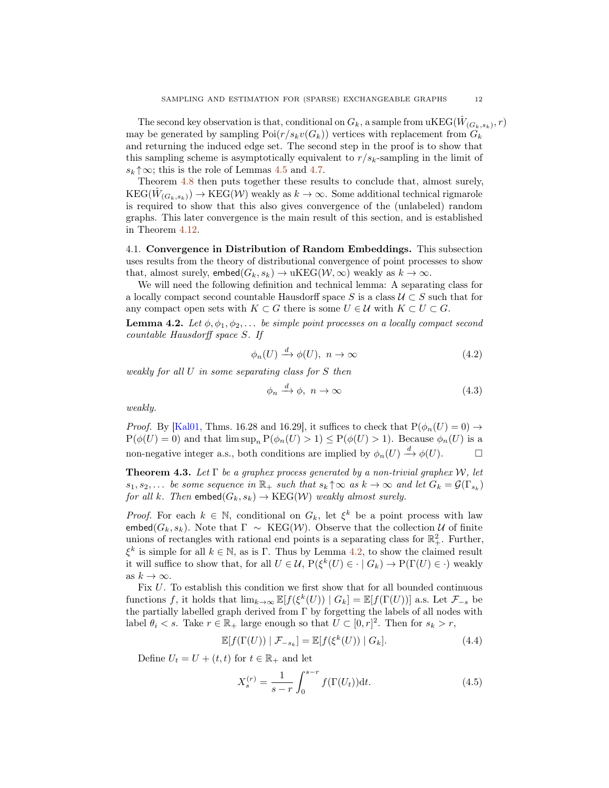The second key observation is that, conditional on  $G_k$ , a sample from  $\mathrm{uKEG}(\hat{W}_{(G_k, s_k)}, r)$ may be generated by sampling  $Poi(r/s_k v(G_k))$  vertices with replacement from  $G_k$ and returning the induced edge set. The second step in the proof is to show that this sampling scheme is asymptotically equivalent to  $r/s_k$ -sampling in the limit of  $s_k \uparrow \infty$ ; this is the role of Lemmas [4.5](#page-14-0) and [4.7.](#page-17-0)

Theorem [4.8](#page-17-1) then puts together these results to conclude that, almost surely,  $\mathrm{KEG}(\hat{W}_{(G_k, s_k)}) \to \mathrm{KEG}(\mathcal{W})$  weakly as  $k \to \infty$ . Some additional technical rigmarole is required to show that this also gives convergence of the (unlabeled) random graphs. This later convergence is the main result of this section, and is established in Theorem [4.12.](#page-20-1)

<span id="page-11-2"></span>4.1. Convergence in Distribution of Random Embeddings. This subsection uses results from the theory of distributional convergence of point processes to show that, almost surely,  $\mathsf{embed}(G_k, s_k) \to \mathsf{uKEG}(\mathcal{W}, \infty)$  weakly as  $k \to \infty$ .

We will need the following definition and technical lemma: A separating class for a locally compact second countable Hausdorff space S is a class  $\mathcal{U} \subset S$  such that for any compact open sets with  $K \subset G$  there is some  $U \in \mathcal{U}$  with  $K \subset U \subset G$ .

<span id="page-11-1"></span>**Lemma 4.2.** Let  $\phi$ ,  $\phi_1$ ,  $\phi_2$ ,... be simple point processes on a locally compact second countable Hausdorff space S. If

$$
\phi_n(U) \xrightarrow{d} \phi(U), \ n \to \infty \tag{4.2}
$$

weakly for all U in some separating class for S then

$$
\phi_n \xrightarrow{d} \phi, \ n \to \infty \tag{4.3}
$$

weakly.

*Proof.* By [\[Kal01,](#page-24-12) Thms. 16.28 and 16.29], it suffices to check that  $P(\phi_n(U) = 0) \rightarrow$  $P(\phi(U) = 0)$  and that  $\limsup_n P(\phi_n(U) > 1) \leq P(\phi(U) > 1)$ . Because  $\phi_n(U)$  is a non-negative integer a.s., both conditions are implied by  $\phi_n(U) \stackrel{d}{\rightarrow} \phi(U)$ .

<span id="page-11-0"></span>**Theorem 4.3.** Let  $\Gamma$  be a graphex process generated by a non-trivial graphex W, let  $s_1, s_2,...$  be some sequence in  $\mathbb{R}_+$  such that  $s_k \uparrow \infty$  as  $k \to \infty$  and let  $G_k = \mathcal{G}(\Gamma_{s_k})$ for all k. Then  $\mathsf{embed}(G_k, s_k) \to \mathrm{KEG}(\mathcal{W})$  weakly almost surely.

*Proof.* For each  $k \in \mathbb{N}$ , conditional on  $G_k$ , let  $\xi^k$  be a point process with law embed( $G_k$ ,  $s_k$ ). Note that  $\Gamma \sim \text{KEG}(\mathcal{W})$ . Observe that the collection U of finite unions of rectangles with rational end points is a separating class for  $\mathbb{R}^2_+$ . Further,  $\xi^k$  is simple for all  $k \in \mathbb{N}$ , as is Γ. Thus by Lemma [4.2,](#page-11-1) to show the claimed result it will suffice to show that, for all  $U \in \mathcal{U}$ ,  $P(\xi^k(U) \in \cdot \mid G_k) \to P(\Gamma(U) \in \cdot)$  weakly as  $k \to \infty$ .

Fix U. To establish this condition we first show that for all bounded continuous functions f, it holds that  $\lim_{k\to\infty} \mathbb{E}[f(\xi^k(U)) | G_k] = \mathbb{E}[f(\Gamma(U))]$  a.s. Let  $\mathcal{F}_{-s}$  be the partially labelled graph derived from  $\Gamma$  by forgetting the labels of all nodes with label  $\theta_i < s$ . Take  $r \in \mathbb{R}_+$  large enough so that  $U \subset [0, r]^2$ . Then for  $s_k > r$ ,

$$
\mathbb{E}[f(\Gamma(U)) | \mathcal{F}_{-s_k}] = \mathbb{E}[f(\xi^k(U)) | G_k]. \tag{4.4}
$$

Define  $U_t = U + (t, t)$  for  $t \in \mathbb{R}_+$  and let

$$
X_s^{(r)} = \frac{1}{s-r} \int_0^{s-r} f(\Gamma(U_t)) \mathrm{d}t. \tag{4.5}
$$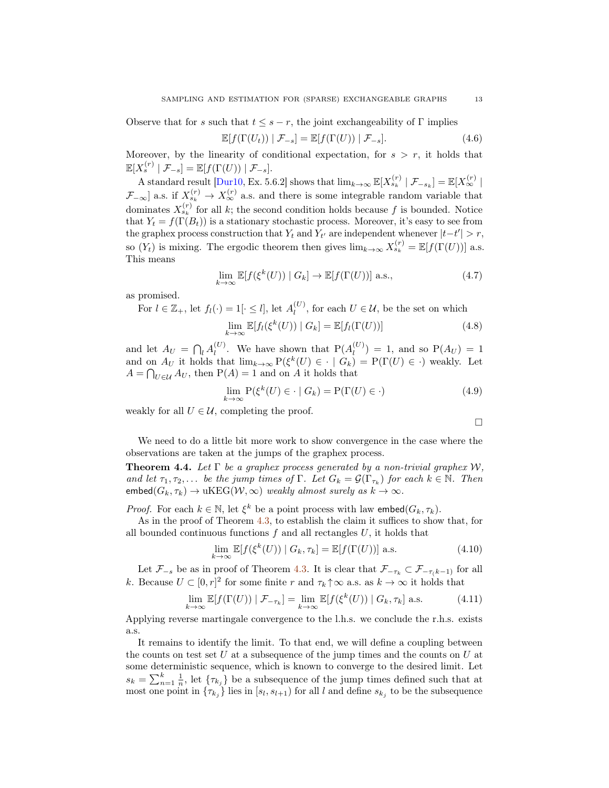Observe that for s such that  $t \leq s - r$ , the joint exchangeability of  $\Gamma$  implies

$$
\mathbb{E}[f(\Gamma(U_t)) | \mathcal{F}_{-s}] = \mathbb{E}[f(\Gamma(U)) | \mathcal{F}_{-s}]. \tag{4.6}
$$

Moreover, by the linearity of conditional expectation, for  $s > r$ , it holds that  $\mathbb{E}[X_{s}^{(r)} | \mathcal{F}_{-s}] = \mathbb{E}[f(\Gamma(U)) | \mathcal{F}_{-s}].$ 

A standard result [\[Dur10,](#page-24-13) Ex. 5.6.2] shows that  $\lim_{k\to\infty} \mathbb{E}[X_{s_k}^{(r)} | \mathcal{F}_{-s_k}] = \mathbb{E}[X_{\infty}^{(r)} |$  $\mathcal{F}_{-\infty}$ ] a.s. if  $X_{s_k}^{(r)} \to X_{\infty}^{(r)}$  a.s. and there is some integrable random variable that dominates  $X_{s_k}^{(r)}$  for all k; the second condition holds because f is bounded. Notice that  $Y_t = f(\Gamma(B_t))$  is a stationary stochastic process. Moreover, it's easy to see from the graphex process construction that  $Y_t$  and  $Y_{t'}$  are independent whenever  $|t-t'| > r$ , so  $(Y_t)$  is mixing. The ergodic theorem then gives  $\lim_{k\to\infty} X_{s_k}^{(r)} = \mathbb{E}[f(\Gamma(U))]$  a.s. This means

$$
\lim_{k \to \infty} \mathbb{E}[f(\xi^k(U)) \mid G_k] \to \mathbb{E}[f(\Gamma(U))] \text{ a.s.},\tag{4.7}
$$

as promised.

For  $l \in \mathbb{Z}_+$ , let  $f_l(\cdot) = 1[\cdot \leq l]$ , let  $A_l^{(U)}$ , for each  $U \in \mathcal{U}$ , be the set on which

$$
\lim_{k \to \infty} \mathbb{E}[f_l(\xi^k(U)) \mid G_k] = \mathbb{E}[f_l(\Gamma(U))]
$$
\n(4.8)

and let  $A_U = \bigcap_l A_l^{(U)}$ . We have shown that  $P(A_l^{(U)}) = 1$ , and so  $P(A_U) = 1$ and on  $A_U$  it holds that  $\lim_{k\to\infty} P(\xi^k(U) \in \cdot \mid G_k) = P(\Gamma(U) \in \cdot)$  weakly. Let  $A = \bigcap_{U \in \mathcal{U}} A_U$ , then  $P(A) = 1$  and on A it holds that

$$
\lim_{k \to \infty} \mathcal{P}(\xi^k(U) \in \cdot \mid G_k) = \mathcal{P}(\Gamma(U) \in \cdot)
$$
\n(4.9)

weakly for all  $U \in \mathcal{U}$ , completing the proof.

 $\Box$ 

We need to do a little bit more work to show convergence in the case where the observations are taken at the jumps of the graphex process.

<span id="page-12-0"></span>**Theorem 4.4.** Let  $\Gamma$  be a graphex process generated by a non-trivial graphex W, and let  $\tau_1, \tau_2, \ldots$  be the jump times of  $\Gamma$ . Let  $G_k = \mathcal{G}(\Gamma_{\tau_k})$  for each  $k \in \mathbb{N}$ . Then  $embed(G_k, \tau_k) \rightarrow uKEG(W, \infty)$  weakly almost surely as  $k \rightarrow \infty$ .

*Proof.* For each  $k \in \mathbb{N}$ , let  $\xi^k$  be a point process with law embed $(G_k, \tau_k)$ .

As in the proof of Theorem [4.3,](#page-11-0) to establish the claim it suffices to show that, for all bounded continuous functions  $f$  and all rectangles  $U$ , it holds that

$$
\lim_{k \to \infty} \mathbb{E}[f(\xi^k(U)) \mid G_k, \tau_k] = \mathbb{E}[f(\Gamma(U))] \text{ a.s.}
$$
\n(4.10)

Let  $\mathcal{F}_{-s}$  be as in proof of Theorem [4.3.](#page-11-0) It is clear that  $\mathcal{F}_{-\tau_k} \subset \mathcal{F}_{-\tau(k-1)}$  for all k. Because  $U \subset [0, r]^2$  for some finite r and  $\tau_k \uparrow \infty$  a.s. as  $k \to \infty$  it holds that

$$
\lim_{k \to \infty} \mathbb{E}[f(\Gamma(U)) \mid \mathcal{F}_{-\tau_k}] = \lim_{k \to \infty} \mathbb{E}[f(\xi^k(U)) \mid G_k, \tau_k] \text{ a.s.}
$$
 (4.11)

Applying reverse martingale convergence to the l.h.s. we conclude the r.h.s. exists a.s.

It remains to identify the limit. To that end, we will define a coupling between the counts on test set  $U$  at a subsequence of the jump times and the counts on  $U$  at some deterministic sequence, which is known to converge to the desired limit. Let  $s_k = \sum_{n=1}^k \frac{1}{n}$ , let  $\{\tau_{k_j}\}\$ be a subsequence of the jump times defined such that at most one point in  $\{\tau_{k_j}\}\$ lies in  $[s_l, s_{l+1})$  for all l and define  $s_{k_j}$  to be the subsequence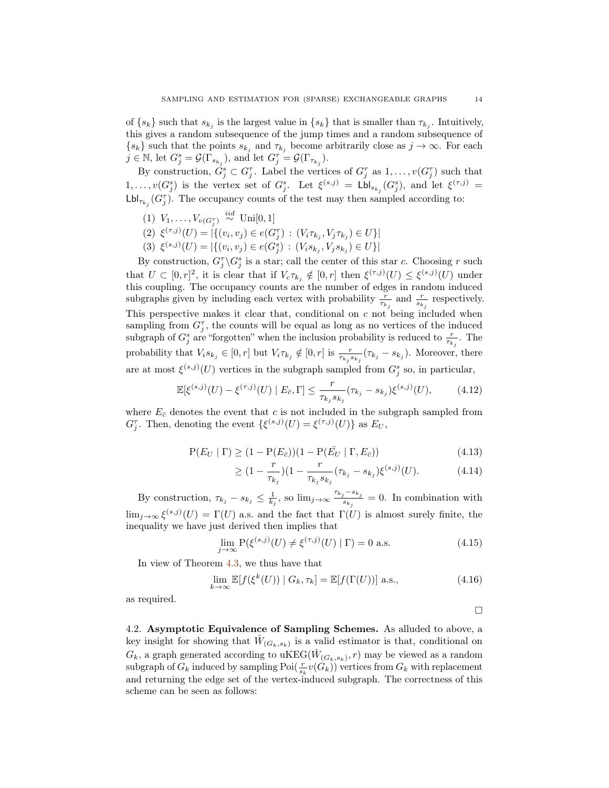of  $\{s_k\}$  such that  $s_{k_j}$  is the largest value in  $\{s_k\}$  that is smaller than  $\tau_{k_j}$ . Intuitively, this gives a random subsequence of the jump times and a random subsequence of  $\{s_k\}$  such that the points  $s_{k_j}$  and  $\tau_{k_j}$  become arbitrarily close as  $j \to \infty$ . For each  $j \in \mathbb{N}$ , let  $G_j^s = \mathcal{G}(\overline{\Gamma}_{s_{k_j}})$ , and let  $G_j^{\tau} = \mathcal{G}(\Gamma_{\tau_{k_j}})$ .

By construction,  $\check{G}_j^s \subset G_j^{\tau}$ . Label the vertices of  $G_j^{\tau}$  as  $1, \ldots, v(G_j^{\tau})$  such that  $1,\ldots,v(G_j^s)$  is the vertex set of  $G_j^s$ . Let  $\xi^{(s,j)} = \mathsf{Lbl}_{s_{k_j}}(G_j^s)$ , and let  $\xi^{(\tau,j)} =$  $\mathsf{Lbl}_{\tau_{k_j}}(G_j^{\tau})$ . The occupancy counts of the test may then sampled according to:

- (1)  $V_1, \ldots, V_{v(G_j^{\tau})} \stackrel{iid}{\sim} \text{Uni}[0,1]$
- (2)  $\xi^{(\tau,j)}(U) = |\{(v_i, v_j) \in e(G_j^{\tau}) : (V_i \tau_{k_j}, V_j \tau_{k_j}) \in U\}|$
- (3)  $\xi^{(s,j)}(U) = |\{(v_i, v_j) \in e(G_j^s) : (V_i s_{k_j}, V_j s_{k_j}) \in U\}|$

By construction,  $G_j^{\tau} \backslash G_j^s$  is a star; call the center of this star c. Choosing r such that  $U \subset [0,r]^2$ , it is clear that if  $V_c \tau_{k_j} \notin [0,r]$  then  $\xi^{(\tau,j)}(U) \leq \xi^{(s,j)}(U)$  under this coupling. The occupancy counts are the number of edges in random induced subgraphs given by including each vertex with probability  $\frac{r}{\tau_{k_j}}$  and  $\frac{r}{s_{k_j}}$  respectively. This perspective makes it clear that, conditional on c not being included when sampling from  $G_j^{\tau}$ , the counts will be equal as long as no vertices of the induced subgraph of  $G_j^s$  are "forgotten" when the inclusion probability is reduced to  $\frac{r}{\tau_{k_j}}$ . The probability that  $V_i s_{k_j} \in [0, r]$  but  $V_i \tau_{k_j} \notin [0, r]$  is  $\frac{r}{\tau_{k_j} s_{k_j}} (\tau_{k_j} - s_{k_j})$ . Moreover, there are at most  $\xi^{(s,j)}(U)$  vertices in the subgraph sampled from  $G_j^s$  so, in particular,

$$
\mathbb{E}[\xi^{(s,j)}(U) - \xi^{(\tau,j)}(U) \mid E_{\bar{c}}, \Gamma] \le \frac{r}{\tau_{k_j} s_{k_j}} (\tau_{k_j} - s_{k_j}) \xi^{(s,j)}(U), \tag{4.12}
$$

where  $E_{\bar{c}}$  denotes the event that c is not included in the subgraph sampled from  $G_j^{\tau}$ . Then, denoting the event  $\{\xi^{(s,j)}(U) = \xi^{(\tau,j)}(U)\}\$ as  $E_U$ ,

$$
P(E_U | \Gamma) \ge (1 - P(E_{\bar{c}}))(1 - P(\bar{E_U} | \Gamma, E_{\bar{c}}))
$$
\n(4.13)

$$
\geq (1 - \frac{r}{\tau_{k_j}})(1 - \frac{r}{\tau_{k_j} s_{k_j}}(\tau_{k_j} - s_{k_j})\xi^{(s,j)}(U). \tag{4.14}
$$

By construction,  $\tau_{k_j} - s_{k_j} \leq \frac{1}{k_j}$ , so  $\lim_{j \to \infty} \frac{\tau_{k_j} - s_{k_j}}{s_{k_j}}$  $s_{s_{kj}}^{s_{k_{j}}} = 0$ . In combination with  $\lim_{j\to\infty} \xi^{(s,j)}(U) = \Gamma(U)$  a.s. and the fact that  $\Gamma(U)$  is almost surely finite, the inequality we have just derived then implies that

$$
\lim_{j \to \infty} \mathcal{P}(\xi^{(s,j)}(U) \neq \xi^{(\tau,j)}(U) \mid \Gamma) = 0 \text{ a.s.}
$$
\n(4.15)

In view of Theorem [4.3,](#page-11-0) we thus have that

$$
\lim_{k \to \infty} \mathbb{E}[f(\xi^k(U)) | G_k, \tau_k] = \mathbb{E}[f(\Gamma(U))] \text{ a.s.},\tag{4.16}
$$

as required.

<span id="page-13-0"></span>4.2. Asymptotic Equivalence of Sampling Schemes. As alluded to above, a key insight for showing that  $\hat{W}_{(G_k, s_k)}$  is a valid estimator is that, conditional on  $G_k$ , a graph generated according to uKEG( $\hat{W}_{(G_k, s_k)}, r$ ) may be viewed as a random subgraph of  $G_k$  induced by sampling  $\mathrm{Poi}(\frac{r}{s_k}v(G_k))$  vertices from  $G_k$  with replacement and returning the edge set of the vertex-induced subgraph. The correctness of this scheme can be seen as follows:

 $\Box$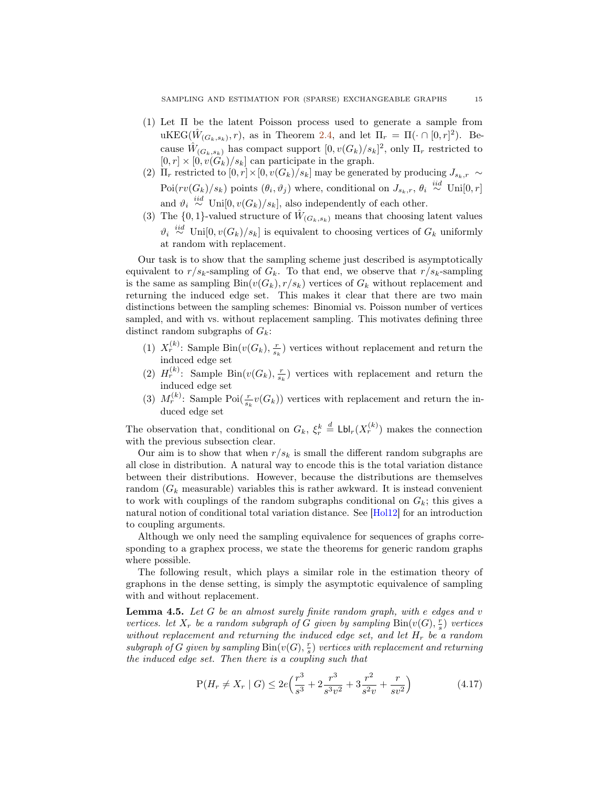- (1) Let Π be the latent Poisson process used to generate a sample from uKEG( $\hat{W}_{(G_k, s_k)}$ , r), as in Theorem [2.4,](#page-7-1) and let  $\Pi_r = \Pi(\cdot \cap [0, r]^2)$ . Because  $\hat{W}_{(G_k, s_k)}$  has compact support  $[0, v(G_k)/s_k]^2$ , only  $\Pi_r$  restricted to  $[0, r] \times [0, v(G_k)/s_k]$  can participate in the graph.
- (2)  $\Pi_r$  restricted to  $[0, r] \times [0, v(G_k)/s_k]$  may be generated by producing  $J_{s_k,r} \sim$ Poi $(rv(G_k)/s_k)$  points  $(\theta_i, \vartheta_j)$  where, conditional on  $J_{s_k,r}$ ,  $\theta_i \stackrel{iid}{\sim}$  Uni $[0, r]$ and  $\vartheta_i \stackrel{iid}{\sim} \text{Uni}[0, v(G_k)/s_k]$ , also independently of each other.
- (3) The  $\{0,1\}$ -valued structure of  $\hat{W}_{(G_k,s_k)}$  means that choosing latent values  $\vartheta_i \stackrel{iid}{\sim} \text{Uni}[0, v(G_k)/s_k]$  is equivalent to choosing vertices of  $G_k$  uniformly at random with replacement.

Our task is to show that the sampling scheme just described is asymptotically equivalent to  $r/s_k$ -sampling of  $G_k$ . To that end, we observe that  $r/s_k$ -sampling is the same as sampling  $\text{Bin}(v(G_k), r/s_k)$  vertices of  $G_k$  without replacement and returning the induced edge set. This makes it clear that there are two main distinctions between the sampling schemes: Binomial vs. Poisson number of vertices sampled, and with vs. without replacement sampling. This motivates defining three distinct random subgraphs of  $G_k$ :

- (1)  $X_r^{(k)}$ : Sample Bin $(v(G_k), \frac{r}{s_k})$  vertices without replacement and return the induced edge set
- (2)  $H_r^{(k)}$ : Sample Bin $(v(G_k), \frac{r}{s_k})$  vertices with replacement and return the induced edge set
- (3)  $M_r^{(k)}$ : Sample Poi $\left(\frac{r}{s_k}v(G_k)\right)$  vertices with replacement and return the induced edge set

The observation that, conditional on  $G_k$ ,  $\xi_r^k \stackrel{d}{=} \text{Lbl}_r(X_r^{(k)})$  makes the connection with the previous subsection clear.

Our aim is to show that when  $r/s_k$  is small the different random subgraphs are all close in distribution. A natural way to encode this is the total variation distance between their distributions. However, because the distributions are themselves random  $(G_k$  measurable) variables this is rather awkward. It is instead convenient to work with couplings of the random subgraphs conditional on  $G_k$ ; this gives a natural notion of conditional total variation distance. See [\[Hol12\]](#page-24-14) for an introduction to coupling arguments.

Although we only need the sampling equivalence for sequences of graphs corresponding to a graphex process, we state the theorems for generic random graphs where possible.

The following result, which plays a similar role in the estimation theory of graphons in the dense setting, is simply the asymptotic equivalence of sampling with and without replacement.

<span id="page-14-0"></span>**Lemma 4.5.** Let  $G$  be an almost surely finite random graph, with e edges and  $v$ vertices. let  $X_r$  be a random subgraph of G given by sampling  $\text{Bin}(v(G), \frac{r}{s})$  vertices without replacement and returning the induced edge set, and let  $H_r$  be a random subgraph of G given by sampling  $\mathrm{Bin}(v(G), \frac{r}{s})$  vertices with replacement and returning the induced edge set. Then there is a coupling such that

$$
P(H_r \neq X_r \mid G) \le 2e\left(\frac{r^3}{s^3} + 2\frac{r^3}{s^3v^2} + 3\frac{r^2}{s^2v} + \frac{r}{sv^2}\right) \tag{4.17}
$$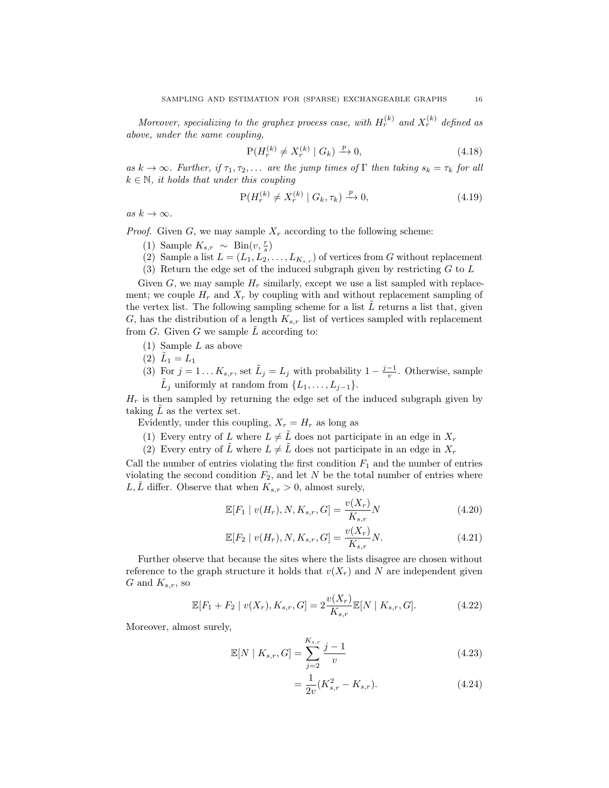Moreover, specializing to the graphex process case, with  $H_r^{(k)}$  and  $X_r^{(k)}$  defined as above, under the same coupling,

$$
P(H_r^{(k)} \neq X_r^{(k)} \mid G_k) \xrightarrow{p} 0,\tag{4.18}
$$

as  $k \to \infty$ . Further, if  $\tau_1, \tau_2, \ldots$  are the jump times of  $\Gamma$  then taking  $s_k = \tau_k$  for all  $k \in \mathbb{N}$ , it holds that under this coupling

$$
P(H_r^{(k)} \neq X_r^{(k)} \mid G_k, \tau_k) \xrightarrow{p} 0,
$$
\n(4.19)

as  $k \to \infty$ .

*Proof.* Given G, we may sample  $X_r$  according to the following scheme:

- (1) Sample  $K_{s,r} \sim \text{Bin}(v, \frac{r}{s})$
- (2) Sample a list  $L = (L_1, L_2, \ldots, L_{K_{s,r}})$  of vertices from G without replacement
- (3) Return the edge set of the induced subgraph given by restricting  $G$  to  $L$

Given G, we may sample  $H_r$  similarly, except we use a list sampled with replacement; we couple  $H_r$  and  $X_r$  by coupling with and without replacement sampling of the vertex list. The following sampling scheme for a list  $L$  returns a list that, given G, has the distribution of a length  $K_{s,r}$  list of vertices sampled with replacement from  $G$ . Given  $G$  we sample  $\tilde{L}$  according to:

- (1) Sample L as above
- (2)  $\tilde{L}_1 = L_1$
- (3) For  $j = 1...K_{s,r}$ , set  $\tilde{L}_j = L_j$  with probability  $1 \frac{j-1}{v}$ . Otherwise, sample  $\tilde{L}_j$  uniformly at random from  $\{L_1, \ldots, L_{j-1}\}.$

 $H_r$  is then sampled by returning the edge set of the induced subgraph given by taking  $\tilde{L}$  as the vertex set.

Evidently, under this coupling,  $X_r = H_r$  as long as

(1) Every entry of L where  $L \neq \tilde{L}$  does not participate in an edge in  $X_r$ 

(2) Every entry of  $\tilde{L}$  where  $L \neq \tilde{L}$  does not participate in an edge in  $X_r$ 

Call the number of entries violating the first condition  $F_1$  and the number of entries violating the second condition  $F_2$ , and let N be the total number of entries where L,  $\tilde{L}$  differ. Observe that when  $K_{s,r} > 0$ , almost surely,

$$
\mathbb{E}[F_1 \mid v(H_r), N, K_{s,r}, G] = \frac{v(X_r)}{K_{s,r}} N \tag{4.20}
$$

$$
\mathbb{E}[F_2 \mid v(H_r), N, K_{s,r}, G] = \frac{v(X_r)}{K_{s,r}} N.
$$
\n(4.21)

Further observe that because the sites where the lists disagree are chosen without reference to the graph structure it holds that  $v(X_r)$  and N are independent given G and  $K_{s,r}$ , so

$$
\mathbb{E}[F_1 + F_2 \mid v(X_r), K_{s,r}, G] = 2 \frac{v(X_r)}{K_{s,r}} \mathbb{E}[N \mid K_{s,r}, G]. \tag{4.22}
$$

Moreover, almost surely,

$$
\mathbb{E}[N \mid K_{s,r}, G] = \sum_{j=2}^{K_{s,r}} \frac{j-1}{v} \tag{4.23}
$$

<span id="page-15-0"></span>
$$
=\frac{1}{2v}(K_{s,r}^2 - K_{s,r}).
$$
\n(4.24)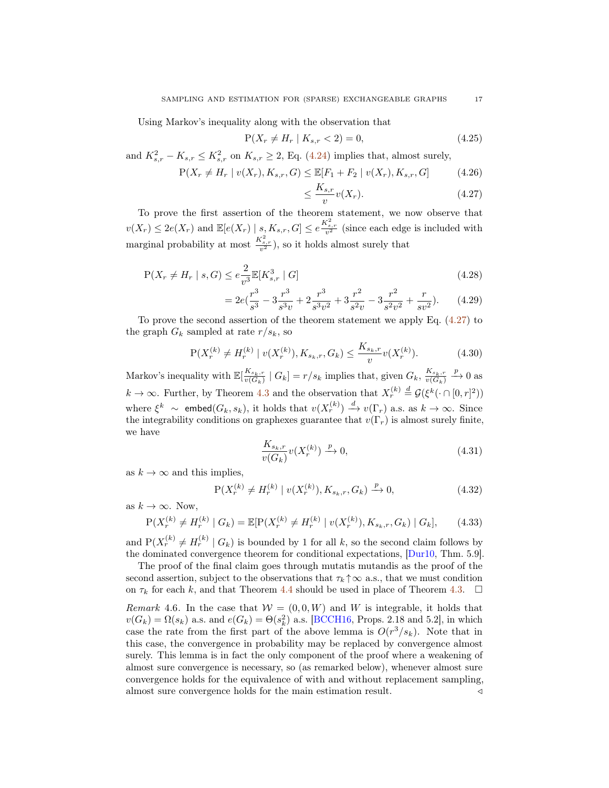Using Markov's inequality along with the observation that

$$
P(X_r \neq H_r \mid K_{s,r} < 2) = 0,\tag{4.25}
$$

and  $K_{s,r}^2 - K_{s,r} \leq K_{s,r}^2$  on  $K_{s,r} \geq 2$ , Eq. [\(4.24\)](#page-15-0) implies that, almost surely,

$$
P(X_r \neq H_r \mid v(X_r), K_{s,r}, G) \leq \mathbb{E}[F_1 + F_2 \mid v(X_r), K_{s,r}, G] \tag{4.26}
$$

$$
\leq \frac{K_{s,r}}{v}v(X_r). \tag{4.27}
$$

To prove the first assertion of the theorem statement, we now observe that  $v(X_r) \le 2e(X_r)$  and  $\mathbb{E}[e(X_r) \mid s, K_{s,r}, G] \le e^{\frac{K_{s,r}^2}{v^2}}$  (since each edge is included with marginal probability at most  $\frac{K_{s,r}^2}{v^2}$ ), so it holds almost surely that

$$
P(X_r \neq H_r \mid s, G) \le e^{\frac{2}{v^3}} \mathbb{E}[K_{s,r}^3 \mid G] \tag{4.28}
$$

$$
=2e\left(\frac{r^3}{s^3}-3\frac{r^3}{s^3v}+2\frac{r^3}{s^3v^2}+3\frac{r^2}{s^2v}-3\frac{r^2}{s^2v^2}+\frac{r}{sv^2}\right).
$$
 (4.29)

To prove the second assertion of the theorem statement we apply Eq. [\(4.27\)](#page-16-0) to the graph  $G_k$  sampled at rate  $r/s_k$ , so

$$
P(X_r^{(k)} \neq H_r^{(k)} \mid v(X_r^{(k)}), K_{s_k, r}, G_k) \leq \frac{K_{s_k, r}}{v} v(X_r^{(k)}).
$$
 (4.30)

Markov's inequality with  $\mathbb{E}[\frac{K_{s_k,r}}{v(G_k)} \mid G_k] = r/s_k$  implies that, given  $G_k$ ,  $\frac{K_{s_k,r}}{v(G_k)}$  $\xrightarrow{p} 0$  as  $k \to \infty$ . Further, by Theorem [4.3](#page-11-0) and the observation that  $X_r^{(k)} \stackrel{d}{=} \mathcal{G}(\xi^k(\cdot \cap [0, r]^2))$ where  $\xi^k \sim \text{embed}(G_k, s_k)$ , it holds that  $v(X_r^{(k)}) \stackrel{d}{\to} v(\Gamma_r)$  a.s. as  $k \to \infty$ . Since the integrability conditions on graphexes guarantee that  $v(\Gamma_r)$  is almost surely finite, we have

$$
\frac{K_{s_k,r}}{v(G_k)}v(X_r^{(k)}) \xrightarrow{p} 0,
$$
\n(4.31)

as  $k \to \infty$  and this implies,

$$
P(X_r^{(k)} \neq H_r^{(k)} \mid v(X_r^{(k)}), K_{s_k,r}, G_k) \xrightarrow{p} 0,
$$
\n(4.32)

as  $k \to \infty$ . Now,

$$
P(X_r^{(k)} \neq H_r^{(k)} \mid G_k) = \mathbb{E}[P(X_r^{(k)} \neq H_r^{(k)} \mid v(X_r^{(k)}), K_{s_k, r}, G_k) \mid G_k], \qquad (4.33)
$$

and  $P(X_r^{(k)} \neq H_r^{(k)} | G_k)$  is bounded by 1 for all k, so the second claim follows by the dominated convergence theorem for conditional expectations, [\[Dur10,](#page-24-13) Thm. 5.9].

The proof of the final claim goes through mutatis mutandis as the proof of the second assertion, subject to the observations that  $\tau_k \uparrow \infty$  a.s., that we must condition on  $\tau_k$  for each k, and that Theorem [4.4](#page-12-0) should be used in place of Theorem [4.3.](#page-11-0)  $\Box$ 

Remark 4.6. In the case that  $W = (0, 0, W)$  and W is integrable, it holds that  $v(G_k) = \Omega(s_k)$  a.s. and  $e(G_k) = \Theta(s_k^2)$  a.s. [\[BCCH16,](#page-24-5) Props. 2.18 and 5.2], in which case the rate from the first part of the above lemma is  $O(r^3/s_k)$ . Note that in this case, the convergence in probability may be replaced by convergence almost surely. This lemma is in fact the only component of the proof where a weakening of almost sure convergence is necessary, so (as remarked below), whenever almost sure convergence holds for the equivalence of with and without replacement sampling, almost sure convergence holds for the main estimation result.  $\triangleleft$ 

<span id="page-16-0"></span>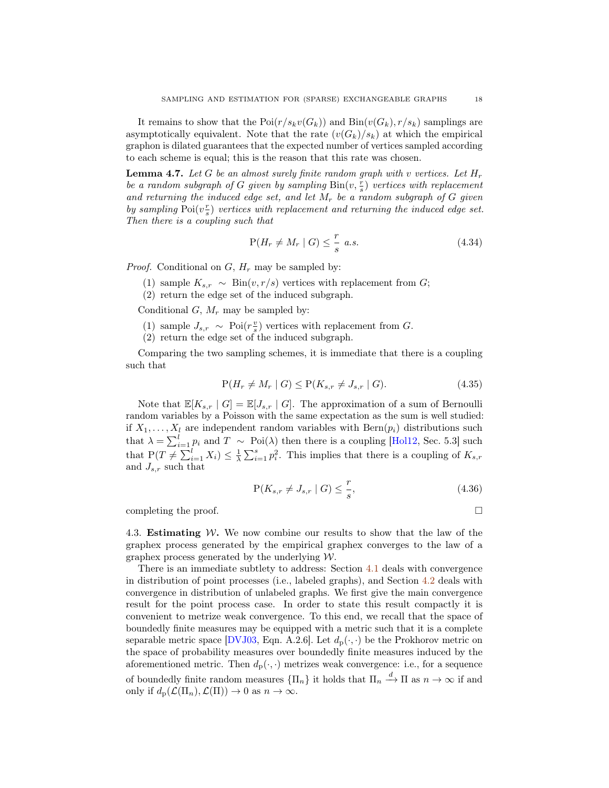It remains to show that the  $\text{Poi}(r/s_kv(G_k))$  and  $\text{Bin}(v(G_k), r/s_k)$  samplings are asymptotically equivalent. Note that the rate  $(v(G_k)/s_k)$  at which the empirical graphon is dilated guarantees that the expected number of vertices sampled according to each scheme is equal; this is the reason that this rate was chosen.

<span id="page-17-0"></span>**Lemma 4.7.** Let G be an almost surely finite random graph with v vertices. Let  $H_r$ be a random subgraph of G given by sampling  $\text{Bin}(v, \frac{r}{s})$  vertices with replacement and returning the induced edge set, and let  $M_r$  be a random subgraph of G given by sampling  $Poi(v_s^{\tau})$  vertices with replacement and returning the induced edge set. Then there is a coupling such that

$$
P(H_r \neq M_r \mid G) \leq \frac{r}{s} \ a.s. \tag{4.34}
$$

*Proof.* Conditional on  $G, H_r$  may be sampled by:

(1) sample  $K_{s,r} \sim \text{Bin}(v, r/s)$  vertices with replacement from G;

(2) return the edge set of the induced subgraph.

Conditional  $G, M_r$  may be sampled by:

- (1) sample  $J_{s,r} \sim \text{Poi}(r_s^v)$  vertices with replacement from G.
- (2) return the edge set of the induced subgraph.

Comparing the two sampling schemes, it is immediate that there is a coupling such that

$$
P(H_r \neq M_r \mid G) \le P(K_{s,r} \neq J_{s,r} \mid G). \tag{4.35}
$$

Note that  $\mathbb{E}[K_{s,r} | G] = \mathbb{E}[J_{s,r} | G]$ . The approximation of a sum of Bernoulli random variables by a Poisson with the same expectation as the sum is well studied: if  $X_1, \ldots, X_l$  are independent random variables with  $\text{Bern}(p_i)$  distributions such that  $\lambda = \sum_{i=1}^{l} p_i$  and  $T \sim \text{Poi}(\lambda)$  then there is a coupling [\[Hol12,](#page-24-14) Sec. 5.3] such that  $P(T \neq \sum_{i=1}^{l} X_i) \leq \frac{1}{\lambda} \sum_{i=1}^{s} p_i^2$ . This implies that there is a coupling of  $K_{s,r}$ and  $J_{s,r}$  such that

$$
\mathcal{P}(K_{s,r} \neq J_{s,r} \mid G) \leq \frac{r}{s},\tag{4.36}
$$

completing the proof.

4.3. **Estimating W.** We now combine our results to show that the law of the graphex process generated by the empirical graphex converges to the law of a graphex process generated by the underlying  $W$ .

<span id="page-17-1"></span>There is an immediate subtlety to address: Section [4.1](#page-11-2) deals with convergence in distribution of point processes (i.e., labeled graphs), and Section [4.2](#page-13-0) deals with convergence in distribution of unlabeled graphs. We first give the main convergence result for the point process case. In order to state this result compactly it is convenient to metrize weak convergence. To this end, we recall that the space of boundedly finite measures may be equipped with a metric such that it is a complete separable metric space [\[DVJ03,](#page-24-15) Eqn. A.2.6]. Let  $d_p(\cdot, \cdot)$  be the Prokhorov metric on the space of probability measures over boundedly finite measures induced by the aforementioned metric. Then  $d_{p}(\cdot, \cdot)$  metrizes weak convergence: i.e., for a sequence of boundedly finite random measures  $\{\Pi_n\}$  it holds that  $\Pi_n \stackrel{d}{\longrightarrow} \Pi$  as  $n \to \infty$  if and only if  $d_p(\mathcal{L}(\Pi_n), \mathcal{L}(\Pi)) \to 0$  as  $n \to \infty$ .

$$
\Box
$$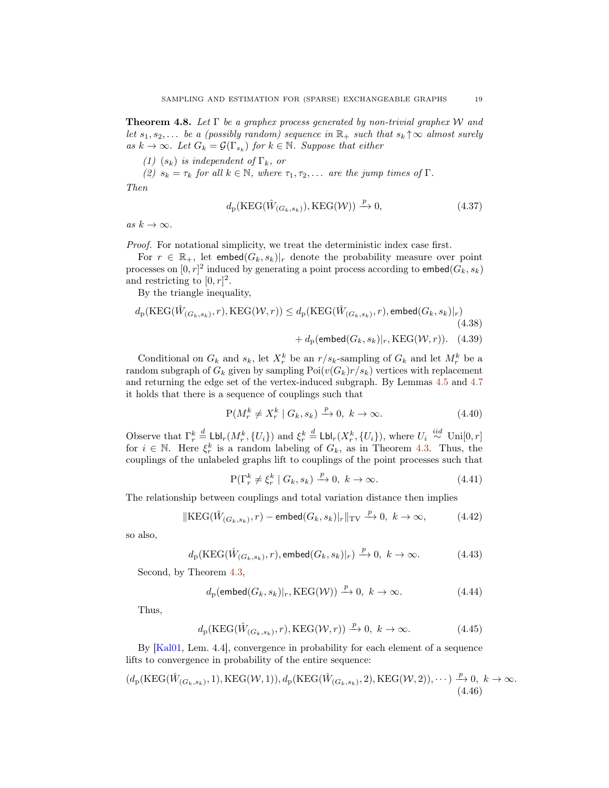**Theorem 4.8.** Let  $\Gamma$  be a graphex process generated by non-trivial graphex W and let  $s_1, s_2, \ldots$  be a (possibly random) sequence in  $\mathbb{R}_+$  such that  $s_k \uparrow \infty$  almost surely as  $k \to \infty$ . Let  $G_k = \mathcal{G}(\Gamma_{s_k})$  for  $k \in \mathbb{N}$ . Suppose that either

(1)  $(s_k)$  is independent of  $\Gamma_k$ , or

(2)  $s_k = \tau_k$  for all  $k \in \mathbb{N}$ , where  $\tau_1, \tau_2, \ldots$  are the jump times of  $\Gamma$ .

Then

$$
d_{p}(\text{KEG}(\hat{W}_{(G_k, s_k)}), \text{KEG}(\mathcal{W})) \xrightarrow{p} 0,
$$
\n(4.37)

as  $k \to \infty$ .

Proof. For notational simplicity, we treat the deterministic index case first.

For  $r \in \mathbb{R}_+$ , let embed $(G_k, s_k)|_r$  denote the probability measure over point processes on  $[0,r]^2$  induced by generating a point process according to embed $(G_k, s_k)$ and restricting to  $[0, r]^2$ .

By the triangle inequality,

$$
d_{p}(\text{KEG}(\hat{W}_{(G_k, s_k)}, r), \text{KEG}(\mathcal{W}, r)) \leq d_{p}(\text{KEG}(\hat{W}_{(G_k, s_k)}, r), \text{embed}(G_k, s_k)|_{r})
$$
\n
$$
+ d_{p}(\text{embed}(G_k, s_k)|_{r}, \text{KEG}(\mathcal{W}, r)). \quad (4.39)
$$

Conditional on  $G_k$  and  $s_k$ , let  $X_r^k$  be an  $r/s_k$ -sampling of  $G_k$  and let  $M_r^k$  be a random subgraph of  $G_k$  given by sampling  $Poi(v(G_k)r/s_k)$  vertices with replacement and returning the edge set of the vertex-induced subgraph. By Lemmas [4.5](#page-14-0) and [4.7](#page-17-0) it holds that there is a sequence of couplings such that

$$
P(M_r^k \neq X_r^k \mid G_k, s_k) \xrightarrow{p} 0, \ k \to \infty. \tag{4.40}
$$

Observe that  $\Gamma_r^k \stackrel{d}{=} \text{Lbl}_r(M_r^k, \{U_i\})$  and  $\xi_r^k \stackrel{d}{=} \text{Lbl}_r(X_r^k, \{U_i\})$ , where  $U_i \stackrel{iid}{\sim} \text{Uni}[0, r]$ for  $i \in \mathbb{N}$ . Here  $\xi_r^k$  is a random labeling of  $G_k$ , as in Theorem [4.3.](#page-11-0) Thus, the couplings of the unlabeled graphs lift to couplings of the point processes such that

$$
P(\Gamma_r^k \neq \xi_r^k \mid G_k, s_k) \xrightarrow{p} 0, \ k \to \infty. \tag{4.41}
$$

The relationship between couplings and total variation distance then implies

$$
\|\text{KEG}(\hat{W}_{(G_k, s_k)}, r) - \text{embed}(G_k, s_k)|_r\|_{\text{TV}} \xrightarrow{p} 0, \ k \to \infty,
$$
 (4.42)

so also,

$$
d_{\mathbf{p}}(\mathrm{KEG}(\hat{W}_{(G_k, s_k)}, r), \mathsf{embed}(G_k, s_k)|_r) \xrightarrow{p} 0, \ k \to \infty.
$$
 (4.43)

Second, by Theorem [4.3,](#page-11-0)

$$
d_{p}(\mathsf{embed}(G_{k}, s_{k})|_{r}, \text{KEG}(\mathcal{W})) \xrightarrow{p} 0, k \to \infty.
$$
 (4.44)

Thus,

$$
d_{\mathcal{P}}(\text{KEG}(\hat{W}_{(G_k, s_k)}, r), \text{KEG}(\mathcal{W}, r)) \xrightarrow{p} 0, \ k \to \infty.
$$
 (4.45)

By [\[Kal01,](#page-24-12) Lem. 4.4], convergence in probability for each element of a sequence lifts to convergence in probability of the entire sequence:

$$
(d_{p}(\text{KEG}(\hat{W}_{(G_k,s_k)},1),\text{KEG}(\mathcal{W},1)),d_{p}(\text{KEG}(\hat{W}_{(G_k,s_k)},2),\text{KEG}(\mathcal{W},2)),\cdots)\xrightarrow{p} 0, k \to \infty.
$$
\n(4.46)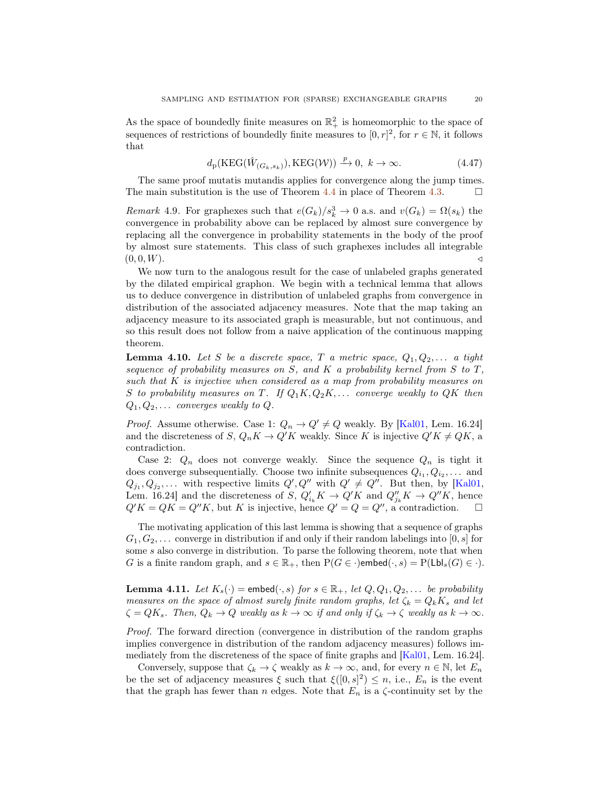As the space of boundedly finite measures on  $\mathbb{R}^2_+$  is homeomorphic to the space of sequences of restrictions of boundedly finite measures to  $[0, r]^2$ , for  $r \in \mathbb{N}$ , it follows that

$$
d_{\mathbf{p}}(\mathbf{KEG}(\hat{W}_{(G_k, s_k)}), \mathbf{KEG}(\mathcal{W})) \xrightarrow{p} 0, \ k \to \infty.
$$
 (4.47)

The same proof mutatis mutandis applies for convergence along the jump times. The main substitution is the use of Theorem [4.4](#page-12-0) in place of Theorem [4.3.](#page-11-0)  $\Box$ 

*Remark* 4.9. For graphexes such that  $e(G_k)/s_k^3 \to 0$  a.s. and  $v(G_k) = \Omega(s_k)$  the convergence in probability above can be replaced by almost sure convergence by replacing all the convergence in probability statements in the body of the proof by almost sure statements. This class of such graphexes includes all integrable  $(0, 0, W)$ .

We now turn to the analogous result for the case of unlabeled graphs generated by the dilated empirical graphon. We begin with a technical lemma that allows us to deduce convergence in distribution of unlabeled graphs from convergence in distribution of the associated adjacency measures. Note that the map taking an adjacency measure to its associated graph is measurable, but not continuous, and so this result does not follow from a naive application of the continuous mapping theorem.

<span id="page-19-0"></span>**Lemma 4.10.** Let S be a discrete space, T a metric space,  $Q_1, Q_2, \ldots$  a tight sequence of probability measures on S, and K a probability kernel from S to T, such that  $K$  is injective when considered as a map from probability measures on S to probability measures on T. If  $Q_1K, Q_2K, \ldots$  converge weakly to  $QK$  then  $Q_1, Q_2, \ldots$  converges weakly to  $Q$ .

*Proof.* Assume otherwise. Case 1:  $Q_n \to Q' \neq Q$  weakly. By [\[Kal01,](#page-24-12) Lem. 16.24] and the discreteness of S,  $Q_n K \to Q' K$  weakly. Since K is injective  $Q' K \neq Q K$ , a contradiction.

Case 2:  $Q_n$  does not converge weakly. Since the sequence  $Q_n$  is tight it does converge subsequentially. Choose two infinite subsequences  $Q_{i_1}, Q_{i_2}, \ldots$  and  $Q_{j_1}, Q_{j_2}, \ldots$  with respective limits  $Q', Q''$  with  $Q' \neq Q''$ . But then, by [\[Kal01,](#page-24-12) Lem. 16.24] and the discreteness of S,  $Q'_{i_k}K \to Q'K$  and  $Q''_{j_k}K \to Q''K$ , hence  $Q'K = QK = Q''K$ , but K is injective, hence  $Q' = Q = Q''$ , a contradiction.  $\square$ 

The motivating application of this last lemma is showing that a sequence of graphs  $G_1, G_2, \ldots$  converge in distribution if and only if their random labelings into [0, s] for some s also converge in distribution. To parse the following theorem, note that when G is a finite random graph, and  $s \in \mathbb{R}_+$ , then  $P(G \in \cdot)$ embed $(\cdot, s) = P(\text{Lbl}_s(G) \in \cdot)$ .

<span id="page-19-1"></span>**Lemma 4.11.** Let  $K_s(\cdot)$  = embed $(\cdot, s)$  for  $s \in \mathbb{R}_+$ , let  $Q, Q_1, Q_2, \ldots$  be probability measures on the space of almost surely finite random graphs, let  $\zeta_k = Q_k K_s$  and let  $\zeta = QK_s$ . Then,  $Q_k \to Q$  weakly as  $k \to \infty$  if and only if  $\zeta_k \to \zeta$  weakly as  $k \to \infty$ .

Proof. The forward direction (convergence in distribution of the random graphs implies convergence in distribution of the random adjacency measures) follows immediately from the discreteness of the space of finite graphs and [\[Kal01,](#page-24-12) Lem. 16.24].

Conversely, suppose that  $\zeta_k \to \zeta$  weakly as  $k \to \infty$ , and, for every  $n \in \mathbb{N}$ , let  $E_n$ be the set of adjacency measures  $\xi$  such that  $\xi([0, s]^2) \leq n$ , i.e.,  $E_n$  is the event that the graph has fewer than n edges. Note that  $E_n$  is a  $\zeta$ -continuity set by the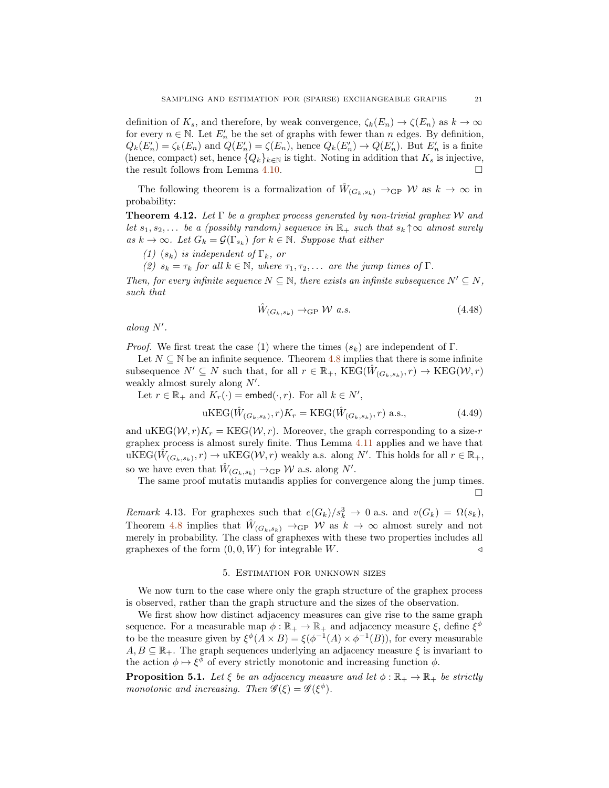definition of  $K_s$ , and therefore, by weak convergence,  $\zeta_k(E_n) \to \zeta(E_n)$  as  $k \to \infty$ for every  $n \in \mathbb{N}$ . Let  $E'_n$  be the set of graphs with fewer than n edges. By definition,  $Q_k(E'_n) = \zeta_k(E_n)$  and  $Q(E'_n) = \zeta(E_n)$ , hence  $Q_k(E'_n) \to Q(E'_n)$ . But  $E'_n$  is a finite (hence, compact) set, hence  ${Q_k}_{k\in\mathbb{N}}$  is tight. Noting in addition that  $K_s$  is injective, the result follows from Lemma [4.10.](#page-19-0)  $\Box$ 

The following theorem is a formalization of  $\hat{W}_{(G_k,s_k)} \to_{\text{GP}} W$  as  $k \to \infty$  in probability:

<span id="page-20-1"></span>**Theorem 4.12.** Let  $\Gamma$  be a graphex process generated by non-trivial graphex W and let  $s_1, s_2, \ldots$  be a (possibly random) sequence in  $\mathbb{R}_+$  such that  $s_k \uparrow \infty$  almost surely as  $k \to \infty$ . Let  $G_k = \mathcal{G}(\Gamma_{s_k})$  for  $k \in \mathbb{N}$ . Suppose that either

(1)  $(s_k)$  is independent of  $\Gamma_k$ , or

(2)  $s_k = \tau_k$  for all  $k \in \mathbb{N}$ , where  $\tau_1, \tau_2, \ldots$  are the jump times of  $\Gamma$ .

Then, for every infinite sequence  $N \subseteq \mathbb{N}$ , there exists an infinite subsequence  $N' \subseteq N$ , such that

$$
\hat{W}_{(G_k, s_k)} \to_{\text{GP}} \mathcal{W} \text{ a.s.}
$$
\n
$$
(4.48)
$$

 $along N'.$ 

*Proof.* We first treat the case (1) where the times  $(s_k)$  are independent of Γ.

Let  $N \subseteq \mathbb{N}$  be an infinite sequence. Theorem [4.8](#page-17-1) implies that there is some infinite subsequence  $N' \subseteq N$  such that, for all  $r \in \mathbb{R}_+$ , KEG $(\hat{W}_{(G_k, s_k)}, r) \to \text{KEG}(\mathcal{W}, r)$ weakly almost surely along  $N'$ .

Let  $r \in \mathbb{R}_+$  and  $K_r(\cdot) = \text{embed}(\cdot, r)$ . For all  $k \in N'$ ,

$$
\text{uKEG}(\hat{W}_{(G_k, s_k)}, r)K_r = \text{KEG}(\hat{W}_{(G_k, s_k)}, r) \text{ a.s.},\tag{4.49}
$$

and uKEG( $W, r$ )K<sub>r</sub> = KEG( $W, r$ ). Moreover, the graph corresponding to a size-r graphex process is almost surely finite. Thus Lemma [4.11](#page-19-1) applies and we have that  $\operatorname{uKEG}(\hat{W}_{(G_k, s_k)}, r) \to \operatorname{uKEG}(\mathcal{W}, r)$  weakly a.s. along N'. This holds for all  $r \in \mathbb{R}_+$ , so we have even that  $\hat{W}_{(G_k, s_k)} \to_{\text{GP}} W$  a.s. along N'.

The same proof mutatis mutandis applies for convergence along the jump times.  $\Box$ 

Remark 4.13. For graphexes such that  $e(G_k)/s_k^3 \to 0$  a.s. and  $v(G_k) = \Omega(s_k)$ , Theorem [4.8](#page-17-1) implies that  $\hat{W}_{(G_k,s_k)} \to_{\text{GP}} W$  as  $k \to \infty$  almost surely and not merely in probability. The class of graphexes with these two properties includes all graphexes of the form  $(0, 0, W)$  for integrable W.

#### 5. Estimation for unknown sizes

<span id="page-20-0"></span>We now turn to the case where only the graph structure of the graphex process is observed, rather than the graph structure and the sizes of the observation.

We first show how distinct adjacency measures can give rise to the same graph sequence. For a measurable map  $\phi : \mathbb{R}_+ \to \mathbb{R}_+$  and adjacency measure  $\xi$ , define  $\xi^{\phi}$ to be the measure given by  $\xi^{\phi}(A \times B) = \xi(\phi^{-1}(A) \times \phi^{-1}(B))$ , for every measurable  $A, B \subseteq \mathbb{R}_+$ . The graph sequences underlying an adjacency measure  $\xi$  is invariant to the action  $\phi \mapsto \xi^{\phi}$  of every strictly monotonic and increasing function  $\phi$ .

<span id="page-20-2"></span>**Proposition 5.1.** Let  $\xi$  be an adjacency measure and let  $\phi : \mathbb{R}_+ \to \mathbb{R}_+$  be strictly monotonic and increasing. Then  $\mathscr{G}(\xi) = \mathscr{G}(\xi^{\phi})$ .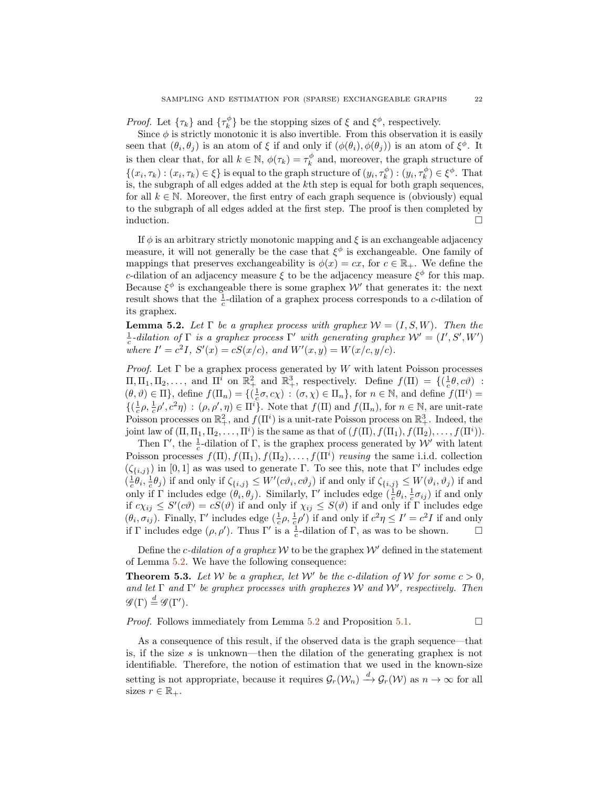*Proof.* Let  $\{\tau_k\}$  and  $\{\tau_k^{\phi}\}\$  be the stopping sizes of  $\xi$  and  $\xi^{\phi}$ , respectively.

Since  $\phi$  is strictly monotonic it is also invertible. From this observation it is easily seen that  $(\theta_i, \theta_j)$  is an atom of  $\xi$  if and only if  $(\phi(\theta_i), \phi(\theta_j))$  is an atom of  $\xi^{\phi}$ . It is then clear that, for all  $k \in \mathbb{N}$ ,  $\phi(\tau_k) = \tau_k^{\phi}$  and, moreover, the graph structure of  $\{(x_i, \tau_k) : (x_i, \tau_k) \in \xi\}$  is equal to the graph structure of  $(y_i, \tau_k^{\phi}) : (y_i, \tau_k^{\phi}) \in \xi^{\phi}$ . That is, the subgraph of all edges added at the kth step is equal for both graph sequences, for all  $k \in \mathbb{N}$ . Moreover, the first entry of each graph sequence is (obviously) equal to the subgraph of all edges added at the first step. The proof is then completed by induction.

If  $\phi$  is an arbitrary strictly monotonic mapping and  $\xi$  is an exchangeable adjacency measure, it will not generally be the case that  $\xi^{\phi}$  is exchangeable. One family of mappings that preserves exchangeability is  $\phi(x) = cx$ , for  $c \in \mathbb{R}_+$ . We define the c-dilation of an adjacency measure  $\xi$  to be the adjacency measure  $\xi^{\phi}$  for this map. Because  $\xi^{\phi}$  is exchangeable there is some graphex W' that generates it: the next result shows that the  $\frac{1}{c}$ -dilation of a graphex process corresponds to a *c*-dilation of its graphex.

<span id="page-21-0"></span>**Lemma 5.2.** Let  $\Gamma$  be a graphex process with graphex  $\mathcal{W} = (I, S, W)$ . Then the  $\frac{1}{c}$ -dilation of  $\Gamma$  is a graphex process  $\Gamma'$  with generating graphex  $\mathcal{W}' = (I', S', W')$ where  $I' = c^2 I$ ,  $S'(x) = cS(x/c)$ , and  $W'(x, y) = W(x/c, y/c)$ .

*Proof.* Let  $\Gamma$  be a graphex process generated by W with latent Poisson processes  $\Pi, \Pi_1, \Pi_2, \ldots$ , and  $\Pi^i$  on  $\mathbb{R}^2_+$  and  $\mathbb{R}^3_+$ , respectively. Define  $f(\Pi) = \{(\frac{1}{c}\theta, c\theta)$ :  $(\theta, \vartheta) \in \Pi$ , define  $f(\Pi_n) = \{(\frac{1}{c}\sigma, c\chi) : (\sigma, \chi) \in \Pi_n\}$ , for  $n \in \mathbb{N}$ , and define  $f(\Pi^i)$  $\{(\frac{1}{c}\rho, \frac{1}{c}\rho', c^2\eta) : (\rho, \rho', \eta) \in \Pi^i\}.$  Note that  $f(\Pi)$  and  $f(\Pi_n)$ , for  $n \in \mathbb{N}$ , are unit-rate Poisson processes on  $\mathbb{R}^2_+$ , and  $f(\Pi^i)$  is a unit-rate Poisson process on  $\mathbb{R}^3_+$ . Indeed, the joint law of  $(\Pi, \Pi_1, \Pi_2, \ldots, \Pi^i)$  is the same as that of  $(f(\Pi), f(\Pi_1), f(\Pi_2), \ldots, f(\Pi^i))$ .

Then  $\Gamma'$ , the  $\frac{1}{c}$ -dilation of  $\Gamma$ , is the graphex process generated by W' with latent Poisson processes  $f(\Pi), f(\Pi_1), f(\Pi_2), \ldots, f(\Pi^i)$  reusing the same i.i.d. collection  $(\zeta_{\{i,j\}})$  in [0, 1] as was used to generate Γ. To see this, note that Γ' includes edge  $(\frac{1}{c}\theta_i, \frac{1}{c}\theta_j)$  if and only if  $\zeta_{\{i,j\}} \leq W'(c\vartheta_i, c\vartheta_j)$  if and only if  $\zeta_{\{i,j\}} \leq W(\vartheta_i, \vartheta_j)$  if and only if Γ includes edge  $(θ<sub>i</sub>, θ<sub>j</sub>)$ . Similarly, Γ' includes edge  $($  $\frac{1}{c}θ<sub>i</sub>, \frac{1}{c}σ<sub>ij</sub>)$  if and only if  $c\chi_{ij} \leq S'(c\vartheta) = cS(\vartheta)$  if and only if  $\chi_{ij} \leq S(\vartheta)$  if and only if  $\Gamma$  includes edge  $(\theta_i, \sigma_{ij})$ . Finally, Γ' includes edge  $(\frac{1}{c}\rho, \frac{1}{c}\rho')$  if and only if  $c^2\eta \leq I' = c^2I$  if and only if  $\Gamma$  includes edge  $(\rho, \rho')$ . Thus  $\Gamma'$  is a  $\frac{1}{c}$ -dilation of  $\Gamma$ , as was to be shown.  $\Box$ 

Define the c-dilation of a graphex  $W$  to be the graphex  $W'$  defined in the statement of Lemma [5.2.](#page-21-0) We have the following consequence:

<span id="page-21-1"></span>**Theorem 5.3.** Let W be a graphex, let W' be the c-dilation of W for some  $c > 0$ , and let  $\Gamma$  and  $\Gamma'$  be graphex processes with graphexes W and W', respectively. Then  $\mathscr{G}(\Gamma) \stackrel{d}{=} \mathscr{G}(\Gamma').$ 

*Proof.* Follows immediately from Lemma [5.2](#page-21-0) and Proposition [5.1.](#page-20-2)  $\Box$ 

As a consequence of this result, if the observed data is the graph sequence—that is, if the size s is unknown—then the dilation of the generating graphex is not identifiable. Therefore, the notion of estimation that we used in the known-size setting is not appropriate, because it requires  $\mathcal{G}_r(\mathcal{W}_n) \stackrel{d}{\to} \mathcal{G}_r(\mathcal{W})$  as  $n \to \infty$  for all sizes  $r \in \mathbb{R}_+$ .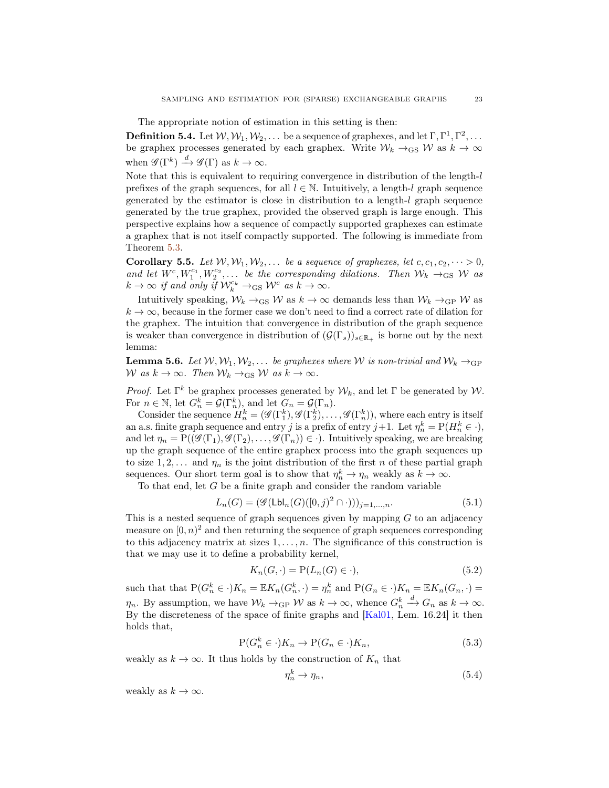The appropriate notion of estimation in this setting is then:

**Definition 5.4.** Let  $W, W_1, W_2, \ldots$  be a sequence of graphexes, and let  $\Gamma, \Gamma^1, \Gamma^2, \ldots$ be graphex processes generated by each graphex. Write  $\mathcal{W}_k \to_{\text{GS}} \mathcal{W}$  as  $k \to \infty$ when  $\mathscr{G}(\Gamma^k) \stackrel{d}{\longrightarrow} \mathscr{G}(\Gamma)$  as  $k \to \infty$ .

Note that this is equivalent to requiring convergence in distribution of the length-l prefixes of the graph sequences, for all  $l \in \mathbb{N}$ . Intuitively, a length-l graph sequence generated by the estimator is close in distribution to a length-l graph sequence generated by the true graphex, provided the observed graph is large enough. This perspective explains how a sequence of compactly supported graphexes can estimate a graphex that is not itself compactly supported. The following is immediate from Theorem [5.3.](#page-21-1)

<span id="page-22-2"></span>**Corollary 5.5.** Let  $W, W_1, W_2, \ldots$  be a sequence of graphexes, let  $c, c_1, c_2, \cdots > 0$ , and let  $W^c, W_1^{c_1}, W_2^{c_2}, \ldots$  be the corresponding dilations. Then  $\mathcal{W}_k \to_{\text{GS}} \mathcal{W}$  as  $k \to \infty$  if and only if  $\mathcal{W}_k^{c_k} \to_{\text{GS}} \mathcal{W}^c$  as  $k \to \infty$ .

Intuitively speaking,  $W_k \rightarrow_{\text{GS}} W$  as  $k \rightarrow \infty$  demands less than  $W_k \rightarrow_{\text{GP}} W$  as  $k \to \infty$ , because in the former case we don't need to find a correct rate of dilation for the graphex. The intuition that convergence in distribution of the graph sequence is weaker than convergence in distribution of  $(\mathcal{G}(\Gamma_s))_{s\in\mathbb{R}_+}$  is borne out by the next lemma:

<span id="page-22-1"></span>**Lemma 5.6.** Let  $W, W_1, W_2, \ldots$  be graphexes where W is non-trivial and  $W_k \rightarrow_{\text{GP}}$ W as  $k \to \infty$ . Then  $W_k \to_{\text{GS}} W$  as  $k \to \infty$ .

*Proof.* Let  $\Gamma^k$  be graphex processes generated by  $W_k$ , and let  $\Gamma$  be generated by  $W$ . For  $n \in \mathbb{N}$ , let  $G_n^k = \mathcal{G}(\Gamma_n^k)$ , and let  $G_n = \mathcal{G}(\Gamma_n)$ .

Consider the sequence  $H_n^k = (\mathscr{G}(\Gamma_1^k), \mathscr{G}(\Gamma_2^k), \ldots, \mathscr{G}(\Gamma_n^k)),$  where each entry is itself an a.s. finite graph sequence and entry j is a prefix of entry  $j+1$ . Let  $\eta_n^k = P(H_n^k \in \cdot)$ , and let  $\eta_n = P((\mathscr{G}(\Gamma_1), \mathscr{G}(\Gamma_2), \ldots, \mathscr{G}(\Gamma_n)) \in \cdot)$ . Intuitively speaking, we are breaking up the graph sequence of the entire graphex process into the graph sequences up to size  $1, 2, \ldots$  and  $\eta_n$  is the joint distribution of the first n of these partial graph sequences. Our short term goal is to show that  $\eta_n^k \to \eta_n$  weakly as  $k \to \infty$ .

To that end, let  $G$  be a finite graph and consider the random variable

$$
L_n(G) = (\mathcal{G}(\mathsf{Lbl}_n(G)([0,j)^2 \cap \cdot)))_{j=1,\dots,n}.\tag{5.1}
$$

This is a nested sequence of graph sequences given by mapping  $G$  to an adjacency measure on  $[0, n)^2$  and then returning the sequence of graph sequences corresponding to this adjacency matrix at sizes  $1, \ldots, n$ . The significance of this construction is that we may use it to define a probability kernel,

$$
K_n(G, \cdot) = \mathcal{P}(L_n(G) \in \cdot),\tag{5.2}
$$

such that that  $P(G_n^k \in \cdot)K_n = \mathbb{E}K_n(G_n^k, \cdot) = \eta_n^k$  and  $P(G_n \in \cdot)K_n = \mathbb{E}K_n(G_n, \cdot) =$  $\eta_n$ . By assumption, we have  $\mathcal{W}_k \to_{\text{GP}} W$  as  $k \to \infty$ , whence  $G_n^k$  $\stackrel{d}{\longrightarrow} G_n$  as  $k \to \infty$ . By the discreteness of the space of finite graphs and [\[Kal01,](#page-24-12) Lem. 16.24] it then holds that,

$$
P(G_n^k \in \cdot)K_n \to P(G_n \in \cdot)K_n,\tag{5.3}
$$

weakly as  $k \to \infty$ . It thus holds by the construction of  $K_n$  that

<span id="page-22-0"></span>
$$
\eta_n^k \to \eta_n,\tag{5.4}
$$

weakly as  $k \to \infty$ .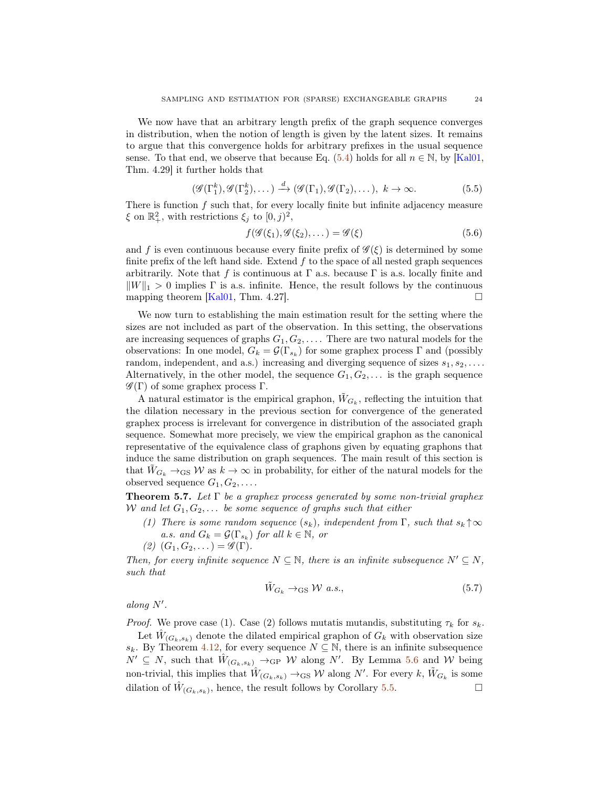We now have that an arbitrary length prefix of the graph sequence converges in distribution, when the notion of length is given by the latent sizes. It remains to argue that this convergence holds for arbitrary prefixes in the usual sequence sense. To that end, we observe that because Eq. [\(5.4\)](#page-22-0) holds for all  $n \in \mathbb{N}$ , by [\[Kal01,](#page-24-12) Thm. 4.29] it further holds that

$$
(\mathcal{G}(\Gamma_1^k), \mathcal{G}(\Gamma_2^k), \dots) \stackrel{d}{\longrightarrow} (\mathcal{G}(\Gamma_1), \mathcal{G}(\Gamma_2), \dots), \ k \to \infty.
$$
 (5.5)

There is function  $f$  such that, for every locally finite but infinite adjacency measure  $\xi$  on  $\mathbb{R}^2_+$ , with restrictions  $\xi_j$  to  $[0, j)^2$ ,

$$
f(\mathcal{G}(\xi_1), \mathcal{G}(\xi_2), \dots) = \mathcal{G}(\xi)
$$
\n(5.6)

and f is even continuous because every finite prefix of  $\mathscr{G}(\xi)$  is determined by some finite prefix of the left hand side. Extend  $f$  to the space of all nested graph sequences arbitrarily. Note that f is continuous at  $\Gamma$  a.s. because  $\Gamma$  is a.s. locally finite and  $\|W\|_1 > 0$  implies  $\Gamma$  is a.s. infinite. Hence, the result follows by the continuous mapping theorem [\[Kal01,](#page-24-12) Thm. 4.27].  $\square$ 

We now turn to establishing the main estimation result for the setting where the sizes are not included as part of the observation. In this setting, the observations are increasing sequences of graphs  $G_1, G_2, \ldots$ . There are two natural models for the observations: In one model,  $G_k = \mathcal{G}(\Gamma_{s_k})$  for some graphex process  $\Gamma$  and (possibly random, independent, and a.s.) increasing and diverging sequence of sizes  $s_1, s_2, \ldots$ . Alternatively, in the other model, the sequence  $G_1, G_2, \ldots$  is the graph sequence  $\mathscr{G}(\Gamma)$  of some graphex process  $\Gamma$ .

A natural estimator is the empirical graphon,  $\tilde{W}_{G_k}$ , reflecting the intuition that the dilation necessary in the previous section for convergence of the generated graphex process is irrelevant for convergence in distribution of the associated graph sequence. Somewhat more precisely, we view the empirical graphon as the canonical representative of the equivalence class of graphons given by equating graphons that induce the same distribution on graph sequences. The main result of this section is that  $W_{G_k} \to_{\text{GS}} W$  as  $k \to \infty$  in probability, for either of the natural models for the observed sequence  $G_1, G_2, \ldots$ .

**Theorem 5.7.** Let  $\Gamma$  be a graphex process generated by some non-trivial graphex W and let  $G_1, G_2, \ldots$  be some sequence of graphs such that either

- (1) There is some random sequence  $(s_k)$ , independent from  $\Gamma$ , such that  $s_k \uparrow \infty$ a.s. and  $G_k = \mathcal{G}(\Gamma_{s_k})$  for all  $k \in \mathbb{N}$ , or
- $(2)$   $(G_1, G_2, \ldots) = \mathscr{G}(\Gamma).$

Then, for every infinite sequence  $N \subseteq \mathbb{N}$ , there is an infinite subsequence  $N' \subseteq N$ , such that

$$
\tilde{W}_{G_k} \to_{\text{GS}} \mathcal{W} \ a.s.,\tag{5.7}
$$

 $along N'.$ 

*Proof.* We prove case (1). Case (2) follows mutatis mutandis, substituting  $\tau_k$  for  $s_k$ .

Let  $\hat{W}_{(G_k, s_k)}$  denote the dilated empirical graphon of  $G_k$  with observation size s<sub>k</sub>. By Theorem [4.12,](#page-20-1) for every sequence  $N \subseteq \mathbb{N}$ , there is an infinite subsequence  $N' \subseteq N$ , such that  $\hat{W}_{(G_k,s_k)} \to_{\text{GP}} W$  along N'. By Lemma [5.6](#page-22-1) and W being non-trivial, this implies that  $\hat{W}_{(G_k, s_k)} \to_{\text{GS}} W$  along N'. For every  $k, \tilde{W}_{G_k}$  is some dilation of  $\hat{W}_{(G_k, s_k)}$ , hence, the result follows by Corollary [5.5.](#page-22-2)